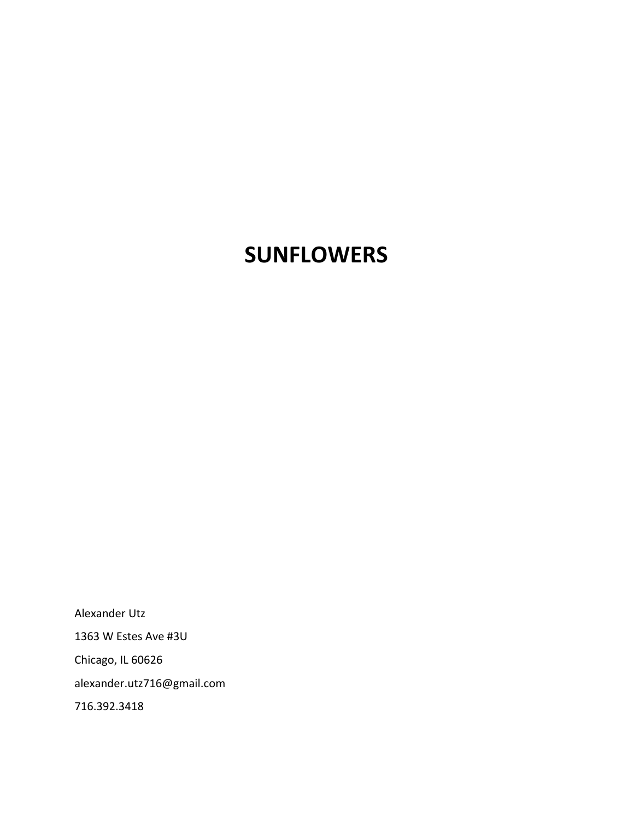# **SUNFLOWERS**

Alexander Utz 1363 W Estes Ave #3U Chicago, IL 60626 alexander.utz716@gmail.com 716.392.3418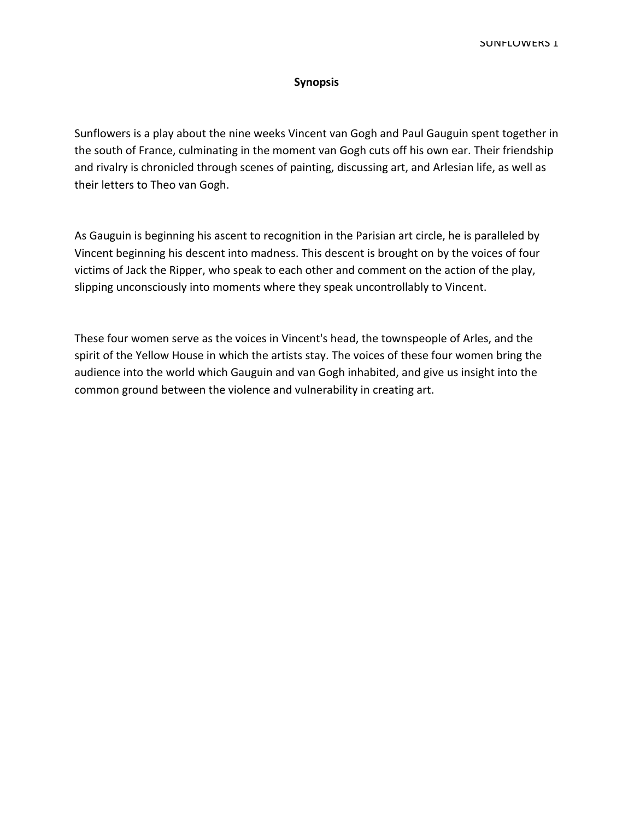## Synopsis

Sunflowers is a play about the nine weeks Vincent van Gogh and Paul Gauguin spent together in the south of France, culminating in the moment van Gogh cuts off his own ear. Their friendship and rivalry is chronicled through scenes of painting, discussing art, and Arlesian life, as well as their letters to Theo van Gogh.

As Gauguin is beginning his ascent to recognition in the Parisian art circle, he is paralleled by Vincent beginning his descent into madness. This descent is brought on by the voices of four victims of Jack the Ripper, who speak to each other and comment on the action of the play, slipping unconsciously into moments where they speak uncontrollably to Vincent.

These four women serve as the voices in Vincent°s head, the townspeople of Arles, and the spirit of the Yellow House in which the artists stay. The voices of these four women bring the audience into the world which Gauguin and van Gogh inhabited, and give us insight into the common ground between the violence and vulnerability in creating art.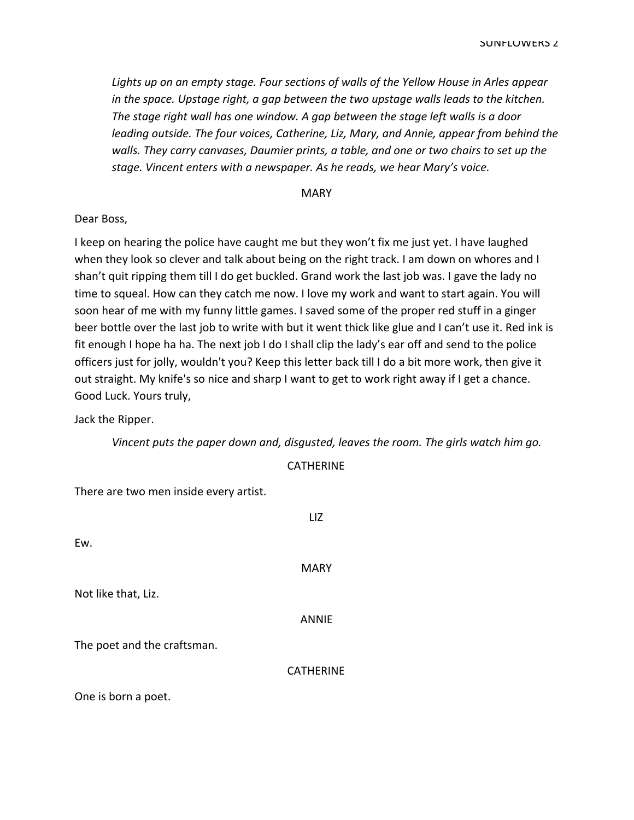Lights up on an empty stage. Four sections of walls of the Yellow House in Arles appear in the space. Upstage right, a gap between the two upstage walls leads to the kitchen. The stage right wall has one window. A gap between the stage left walls is a door leading outside. The four voices, Catherine, Liz, Mary, and Annie, appear from behind the walls. They carry canvases, Daumier prints, a table, and one or two chairs to set up the stage. Vincent enters with a newspaper. As he reads, we hear Mary's voice.

**MARY** 

Dear Boss,

I keep on hearing the police have caught me but they won't fix me just yet. I have laughed when they look so clever and talk about being on the right track. I am down on whores and I shan't quit ripping them till I do get buckled. Grand work the last job was. I gave the lady no time to squeal. How can they catch me now. I love my work and want to start again. You will soon hear of me with my funny little games. I saved some of the proper red stuff in a ginger beer bottle over the last job to write with but it went thick like glue and I can't use it. Red ink is fit enough I hope ha ha. The next job I do I shall clip the lady's ear off and send to the police officers just for jolly, wouldn°t you? Keep this letter back till I do a bit more work, then give it out straight. My knife°s so nice and sharp I want to get to work right away if I get a chance. Good Luck. Yours truly,

Jack the Ripper.

Vincent puts the paper down and, disgusted, leaves the room. The girls watch him go.

| <b>CATHERINE</b> |  |  |
|------------------|--|--|
|------------------|--|--|

There are two men inside every artist.

|                             | LIZ              |
|-----------------------------|------------------|
| Ew.                         |                  |
|                             | <b>MARY</b>      |
| Not like that, Liz.         |                  |
|                             | <b>ANNIE</b>     |
| The poet and the craftsman. |                  |
|                             | <b>CATHERINE</b> |
| One is born a poet.         |                  |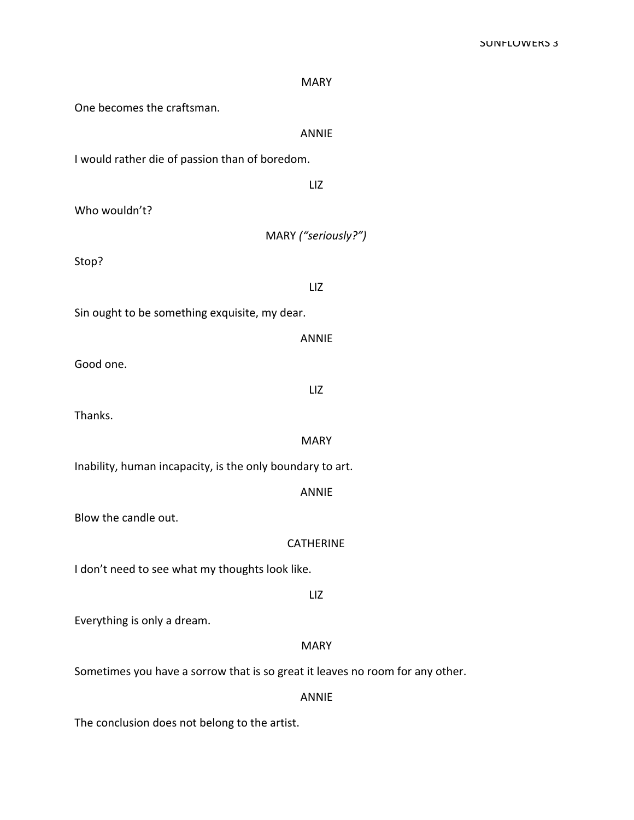| <b>MARY</b>                                                                   |  |
|-------------------------------------------------------------------------------|--|
| One becomes the craftsman.                                                    |  |
| <b>ANNIE</b>                                                                  |  |
| I would rather die of passion than of boredom.                                |  |
| LIZ                                                                           |  |
| Who wouldn't?                                                                 |  |
| MARY ("seriously?")                                                           |  |
| Stop?                                                                         |  |
| LIZ                                                                           |  |
| Sin ought to be something exquisite, my dear.                                 |  |
| <b>ANNIE</b>                                                                  |  |
| Good one.                                                                     |  |
| LIZ                                                                           |  |
| Thanks.                                                                       |  |
| <b>MARY</b>                                                                   |  |
| Inability, human incapacity, is the only boundary to art.                     |  |
| <b>ANNIE</b>                                                                  |  |
| Blow the candle out.                                                          |  |
| <b>CATHERINE</b>                                                              |  |
| I don't need to see what my thoughts look like.                               |  |
| LIZ                                                                           |  |
| Everything is only a dream.                                                   |  |
| <b>MARY</b>                                                                   |  |
| Sometimes you have a sorrow that is so great it leaves no room for any other. |  |
| <b>ANNIE</b>                                                                  |  |

The conclusion does not belong to the artist.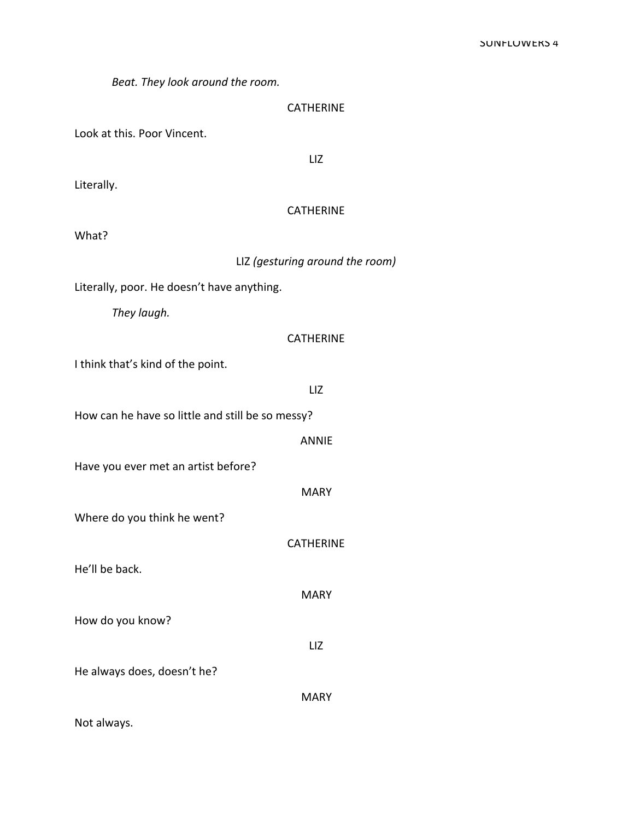Beat. They look around the room.

Look at this. Poor Vincent.

LIZ

Literally.

## CATHERINE

What?

## LIZ (gesturing around the room)

Literally, poor. He doesn't have anything.

They laugh.

## **CATHERINE**

I think that's kind of the point.

LIZ

How can he have so little and still be so messy?

ANNIE

Have you ever met an artist before?

MARY

**CATHERINE** 

**MARY** 

LIZ

Where do you think he went?

He'll be back.

How do you know?

He always does, doesn't he?

MARY

Not always.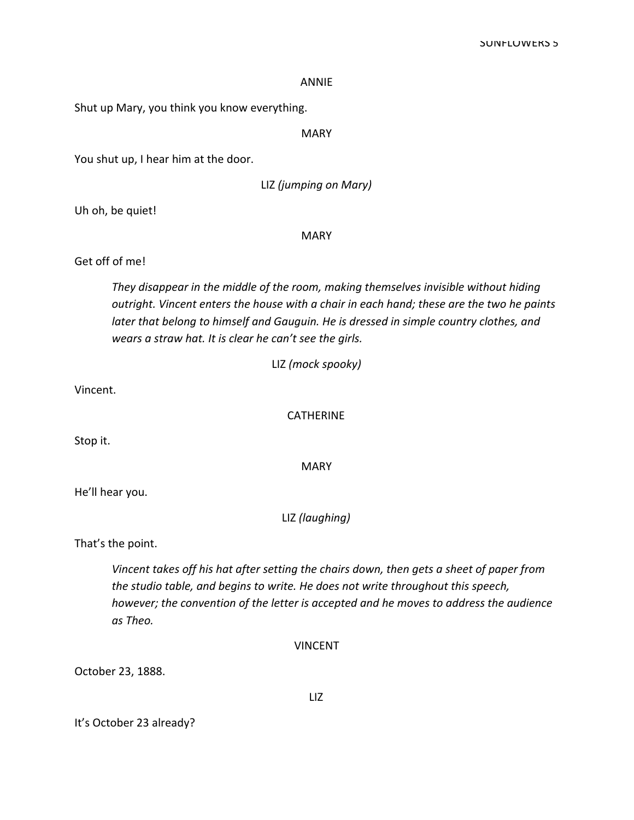#### **ANNIF**

Shut up Mary, you think you know everything.

**MARY** 

You shut up, I hear him at the door.

LIZ (jumping on Mary)

Uh oh, be quiet!

**MARY** 

## Get off of me!

They disappear in the middle of the room, making themselves invisible without hiding outright. Vincent enters the house with a chair in each hand; these are the two he paints later that belong to himself and Gauguin. He is dressed in simple country clothes, and wears a straw hat. It is clear he can't see the girls.

LIZ (mock spooky)

Vincent.

**CATHERINE** 

Stop it.

**MARY** 

He'll hear you.

LIZ (laughing)

That's the point.

Vincent takes off his hat after setting the chairs down, then gets a sheet of paper from the studio table, and begins to write. He does not write throughout this speech, however; the convention of the letter is accepted and he moves to address the audience as Theo.

**VINCENT** 

October 23, 1888.

It's October 23 already?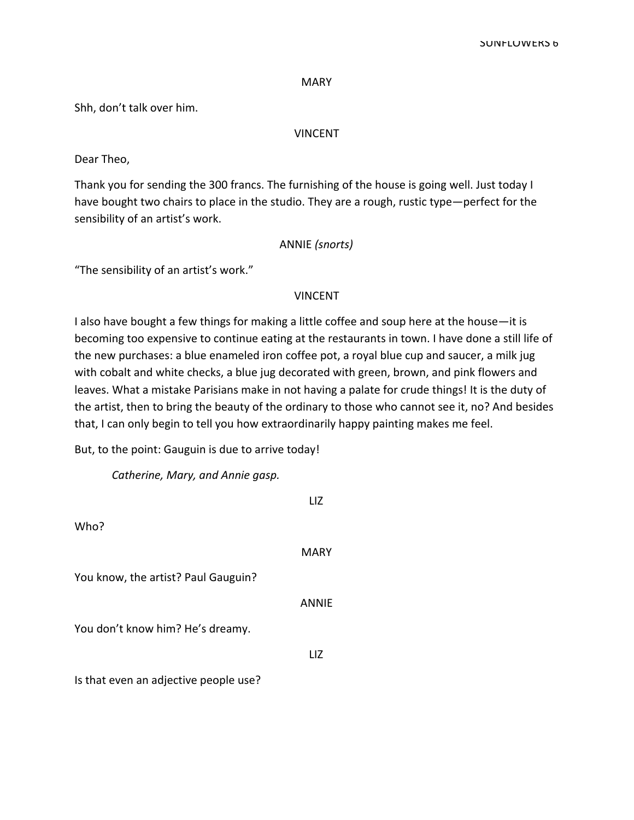#### SUNFLUWERS 6

#### **MARY**

Shh, don't talk over him.

#### VINCENT

Dear Theo,

Thank you for sending the 300 francs. The furnishing of the house is going well. Just today I have bought two chairs to place in the studio. They are a rough, rustic type—perfect for the sensibility of an artist's work.

## ANNIE (snorts)

"The sensibility of an artist's work."

#### VINCENT

I also have bought a few things for making a little coffee and soup here at the house-it is becoming too expensive to continue eating at the restaurants in town. I have done a still life of the new purchases: a blue enameled iron coffee pot, a royal blue cup and saucer, a milk jug with cobalt and white checks, a blue jug decorated with green, brown, and pink flowers and leaves. What a mistake Parisians make in not having a palate for crude things! It is the duty of the artist, then to bring the beauty of the ordinary to those who cannot see it, no? And besides that, I can only begin to tell you how extraordinarily happy painting makes me feel.

But, to the point: Gauguin is due to arrive today!

Catherine, Mary, and Annie gasp.

|                                       | l 17         |
|---------------------------------------|--------------|
| Who?                                  |              |
|                                       | MARY         |
| You know, the artist? Paul Gauguin?   |              |
|                                       | <b>ANNIF</b> |
| You don't know him? He's dreamy.      |              |
|                                       | LIZ          |
| Is that even an adjective people use? |              |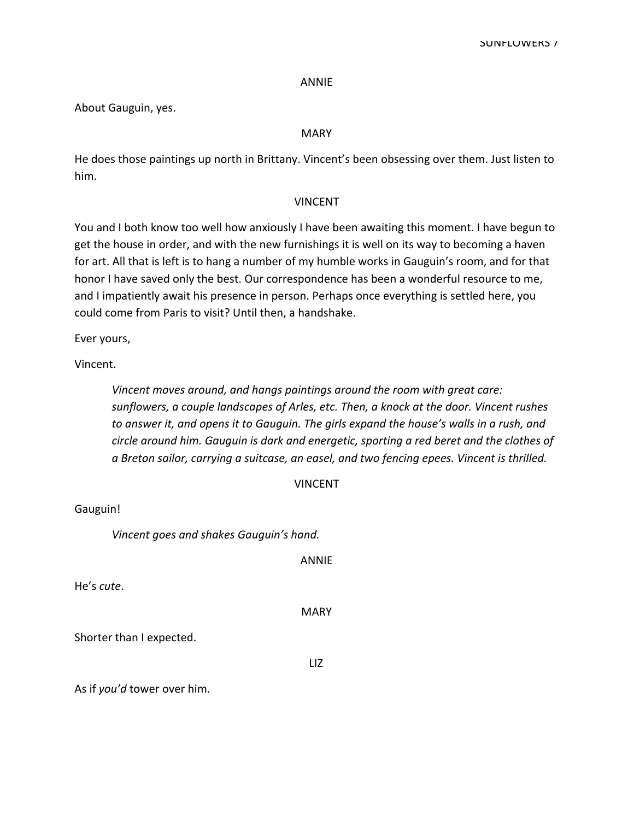#### ANNIE

About Gauguin, yes.

## MARY

He does those paintings up north in Brittany. Vincent's been obsessing over them. Just listen to him.

## VINCENT

You and I both know too well how anxiously I have been awaiting this moment. I have begun to get the house in order, and with the new furnishings it is well on its way to becoming a haven for art. All that is left is to hang a number of my humble works in Gauguin's room, and for that honor I have saved only the best. Our correspondence has been a wonderful resource to me, and I impatiently await his presence in person. Perhaps once everything is settled here, you could come from Paris to visit? Until then, a handshake.

Ever yours,

Vincent.

Vincent moves around, and hangs paintings around the room with great care: sunflowers, a couple landscapes of Arles, etc. Then, a knock at the door. Vincent rushes to answer it, and opens it to Gauguin. The girls expand the house's walls in a rush, and circle around him. Gauguin is dark and energetic, sporting a red beret and the clothes of a Breton sailor, carrying a suitcase, an easel, and two fencing epees. Vincent is thrilled.

|  |  |  | VINCENT |
|--|--|--|---------|
|--|--|--|---------|

Gauguin!

Vincent goes and shakes Gauguin's hand.

ANNIE

He's cute.

MARY

Shorter than I expected.

LIZ

As if you'd tower over him.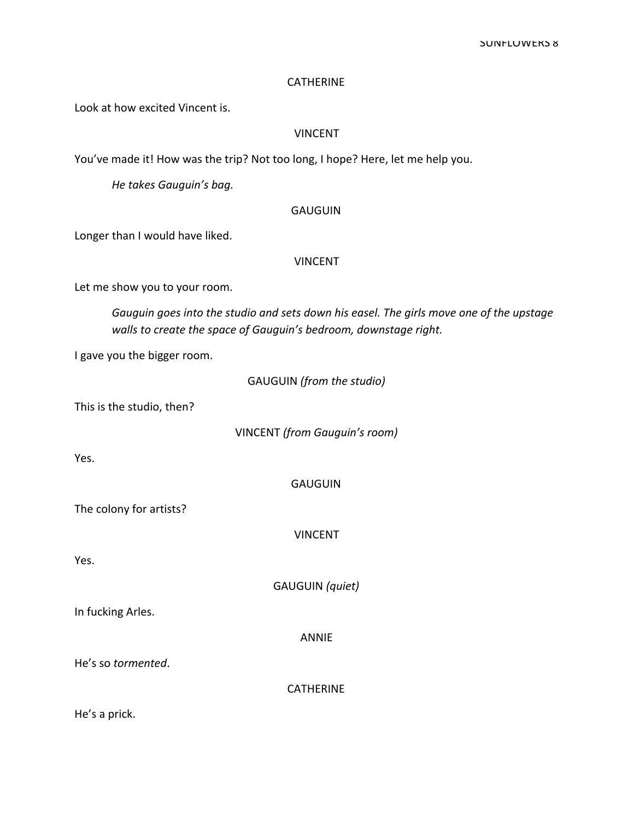#### **CATHERINE**

Look at how excited Vincent is.

## VINCENT

You've made it! How was the trip? Not too long, I hope? Here, let me help you.

He takes Gauguin's bag.

#### **GAUGUIN**

Longer than I would have liked.

## VINCENT

Let me show you to your room.

Gauguin goes into the studio and sets down his easel. The girls move one of the upstage walls to create the space of Gauguin's bedroom, downstage right.

I gave you the bigger room.

| GAUGUIN (from the studio) |  |  |  |  |
|---------------------------|--|--|--|--|
|---------------------------|--|--|--|--|

This is the studio, then?

VINCENT (from Gauguin's room)

Yes.

**GAUGUIN** 

The colony for artists?

VINCENT

Yes.

GAUGUIN (quiet)

In fucking Arles.

ANNIE

He's so tormented.

**CATHERINE** 

He's a prick.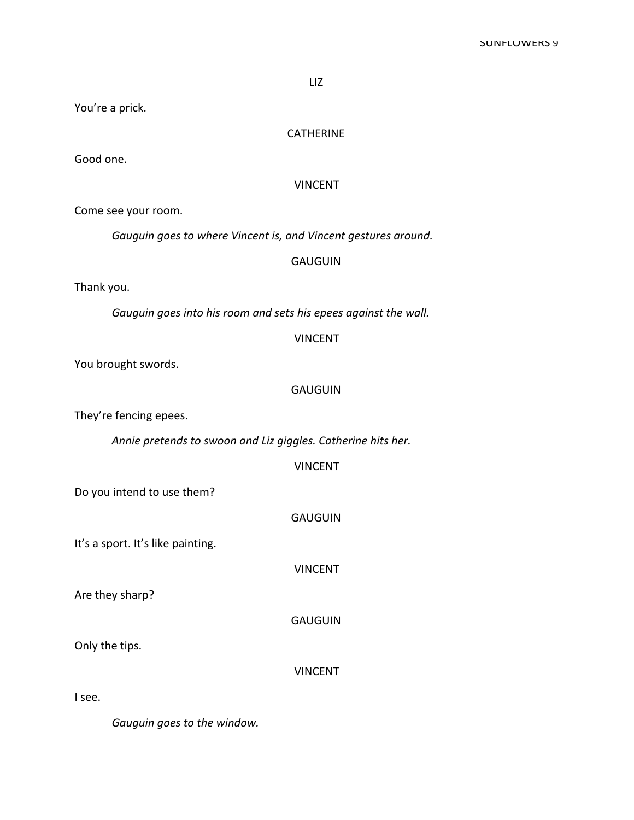You're a prick.

## **CATHERINE**

Good one.

## VINCENT

Come see your room.

Gauguin goes to where Vincent is, and Vincent gestures around.

#### GAUGUIN

Thank you.

Gauguin goes into his room and sets his epees against the wall.

#### VINCENT

You brought swords.

## GAUGUIN

They're fencing epees.

Annie pretends to swoon and Liz giggles. Catherine hits her.

## VINCENT

Do you intend to use them?

GAUGUIN

It's a sport. It's like painting.

VINCENT

Are they sharp?

GAUGUIN

Only the tips.

VINCENT

I see.

Gauguin goes to the window.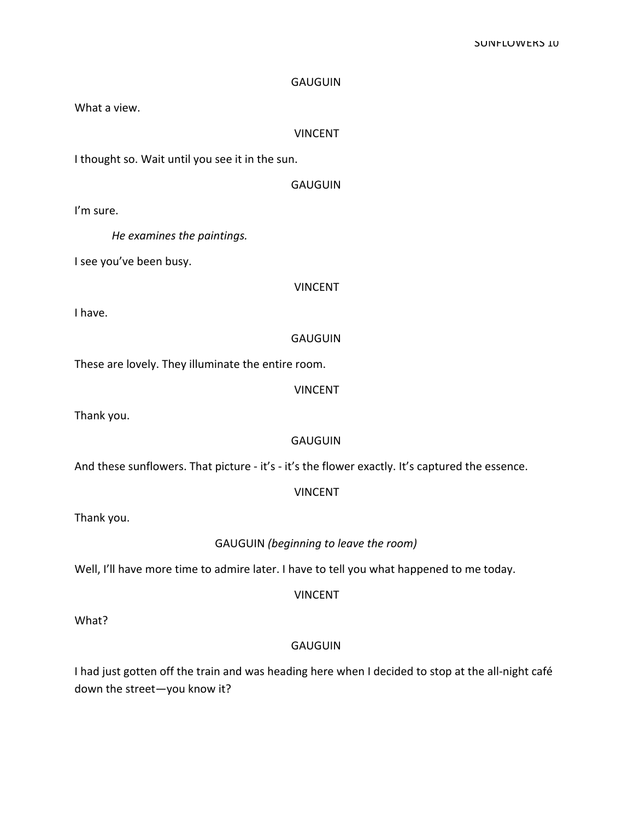What a view.

#### VINCENT

I thought so. Wait until you see it in the sun.

## **GAUGUIN**

I'm sure.

He examines the paintings.

I see you've been busy.

VINCENT

I have.

#### **GAUGUIN**

These are lovely. They illuminate the entire room.

VINCENT

Thank you.

## GAUGUIN

And these sunflowers. That picture - it's - it's the flower exactly. It's captured the essence.

## VINCENT

Thank you.

#### GAUGUIN (beginning to leave the room)

Well, I'll have more time to admire later. I have to tell you what happened to me today.

VINCENT

What?

## **GAUGUIN**

I had just gotten off the train and was heading here when I decided to stop at the all-night café down the street-you know it?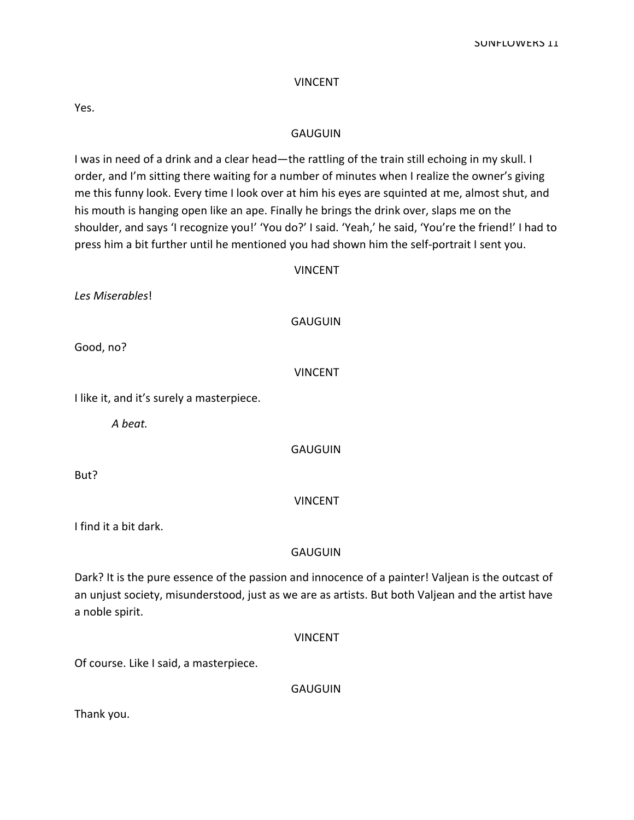#### VINCENT

Yes.

#### **GAUGUIN**

I was in need of a drink and a clear head—the rattling of the train still echoing in my skull. I order, and I'm sitting there waiting for a number of minutes when I realize the owner's giving me this funny look. Every time I look over at him his eyes are squinted at me, almost shut, and his mouth is hanging open like an ape. Finally he brings the drink over, slaps me on the shoulder, and says 'I recognize you!' 'You do?' I said. 'Yeah,' he said, 'You're the friend!' I had to press him a bit further until he mentioned you had shown him the self-portrait I sent you.

#### VINCENT

Les Miserables!

#### **GAUGUIN**

Good, no?

VINCENT

I like it, and it's surely a masterpiece.

A heat.

GAUGUIN

But?

## VINCENT

I find it a bit dark.

## GAUGUIN

Dark? It is the pure essence of the passion and innocence of a painter! Valjean is the outcast of an unjust society, misunderstood, just as we are as artists. But both Valjean and the artist have a noble spirit.

#### VINCENT

Of course. Like I said, a masterpiece.

**GAUGUIN** 

Thank you.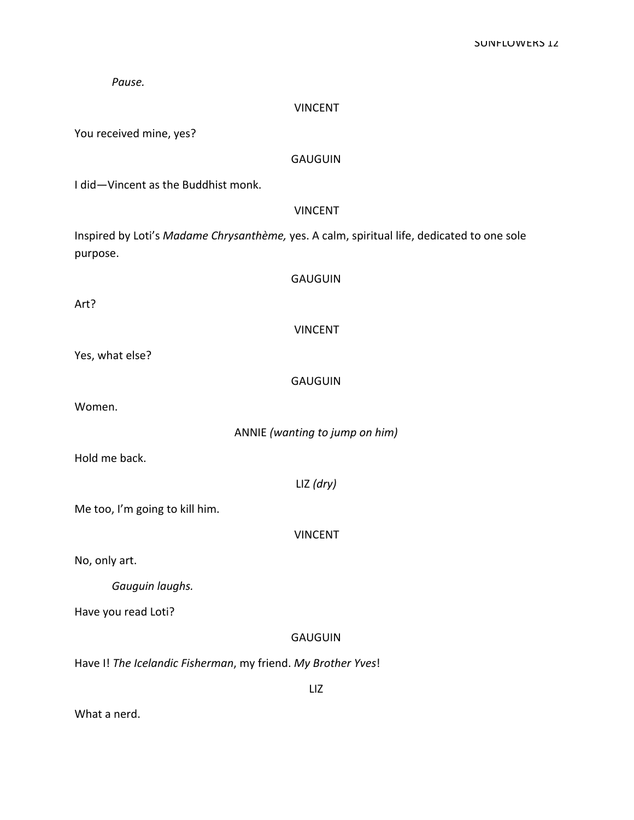| Pause.                                                                                                 |
|--------------------------------------------------------------------------------------------------------|
| <b>VINCENT</b>                                                                                         |
| You received mine, yes?                                                                                |
| <b>GAUGUIN</b>                                                                                         |
| I did-Vincent as the Buddhist monk.                                                                    |
| <b>VINCENT</b>                                                                                         |
| Inspired by Loti's Madame Chrysanthème, yes. A calm, spiritual life, dedicated to one sole<br>purpose. |
| <b>GAUGUIN</b>                                                                                         |
| Art?                                                                                                   |
| <b>VINCENT</b>                                                                                         |
| Yes, what else?                                                                                        |
| <b>GAUGUIN</b>                                                                                         |
| Women.                                                                                                 |
| ANNIE (wanting to jump on him)                                                                         |
| Hold me back.                                                                                          |
| $LIZ$ (dry)                                                                                            |
| Me too, I'm going to kill him.                                                                         |
| <b>VINCENT</b>                                                                                         |
| No, only art.                                                                                          |
| Gauguin laughs.                                                                                        |
| Have you read Loti?                                                                                    |
| <b>GAUGUIN</b>                                                                                         |
| Have I! The Icelandic Fisherman, my friend. My Brother Yves!                                           |
| LIZ                                                                                                    |

What a nerd.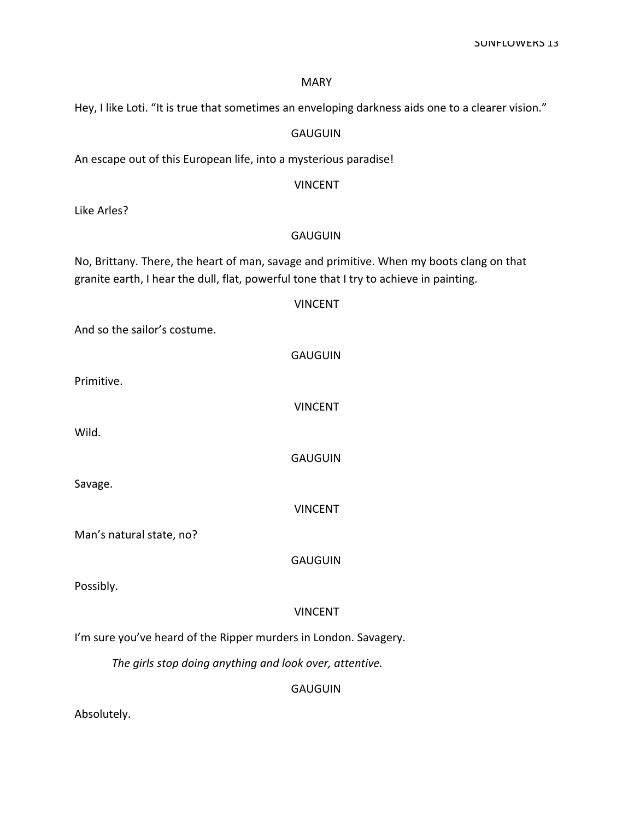#### MARY

Hey, I like Loti. "It is true that sometimes an enveloping darkness aids one to a clearer vision."

## GAUGUIN

An escape out of this European life, into a mysterious paradise!

## VINCENT

Like Arles?

## GAUGUIN

No, Brittany. There, the heart of man, savage and primitive. When my boots clang on that granite earth, I hear the dull, flat, powerful tone that I try to achieve in painting.

|                                                                  | <b>VINCENT</b>                                          |
|------------------------------------------------------------------|---------------------------------------------------------|
| And so the sailor's costume.                                     |                                                         |
|                                                                  | <b>GAUGUIN</b>                                          |
| Primitive.                                                       |                                                         |
|                                                                  | <b>VINCENT</b>                                          |
| Wild.                                                            |                                                         |
|                                                                  | <b>GAUGUIN</b>                                          |
| Savage.                                                          |                                                         |
|                                                                  | <b>VINCENT</b>                                          |
| Man's natural state, no?                                         |                                                         |
|                                                                  | <b>GAUGUIN</b>                                          |
| Possibly.                                                        |                                                         |
|                                                                  | <b>VINCENT</b>                                          |
| I'm sure you've heard of the Ripper murders in London. Savagery. |                                                         |
|                                                                  | The girls stop doing anything and look over, attentive. |
|                                                                  | <b>GAUGUIN</b>                                          |

Absolutely.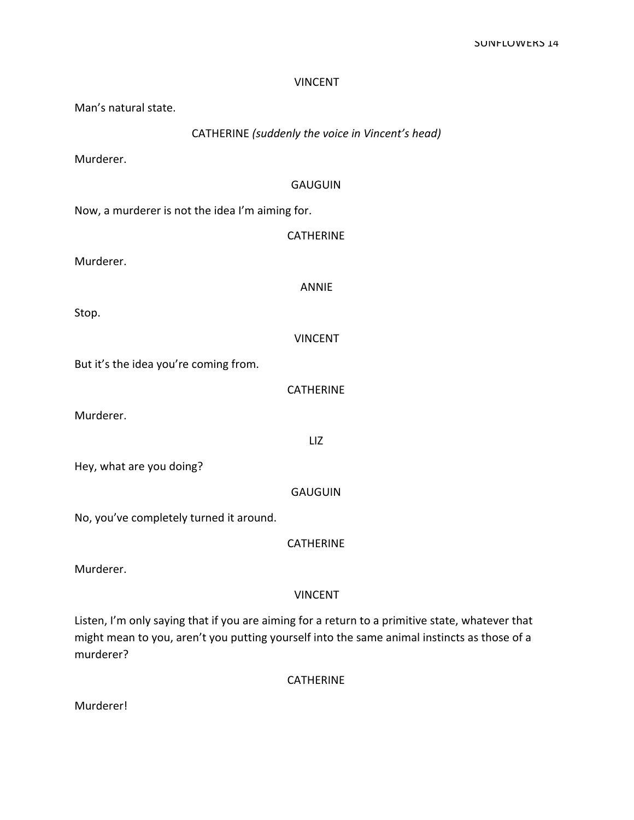| <b>VINCENT</b>                                   |
|--------------------------------------------------|
| Man's natural state.                             |
| CATHERINE (suddenly the voice in Vincent's head) |
| Murderer.                                        |
| <b>GAUGUIN</b>                                   |
| Now, a murderer is not the idea I'm aiming for.  |
| <b>CATHERINE</b>                                 |
| Murderer.                                        |
| <b>ANNIE</b>                                     |
| Stop.                                            |
| <b>VINCENT</b>                                   |
| But it's the idea you're coming from.            |
| <b>CATHERINE</b>                                 |
| Murderer.                                        |
| LIZ                                              |
| Hey, what are you doing?                         |
| <b>GAUGUIN</b>                                   |
| No, you've completely turned it around.          |
| <b>CATHERINE</b>                                 |
| Murderer.                                        |
| <b>VINCENT</b>                                   |
|                                                  |

Listen, I'm only saying that if you are aiming for a return to a primitive state, whatever that might mean to you, aren't you putting yourself into the same animal instincts as those of a murderer?

CATHERINE

Murderer!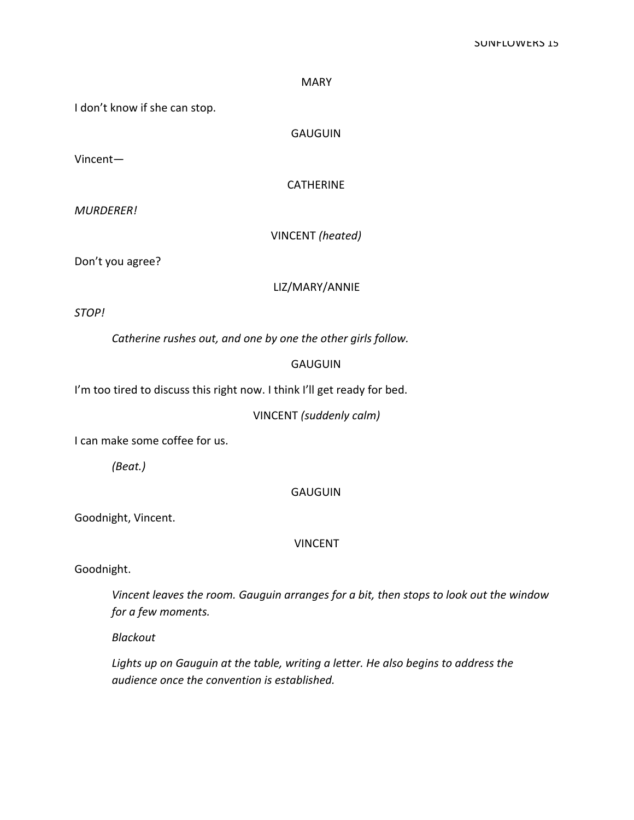#### **SUNFLUWERS 15**

MARY

I don't know if she can stop.

**GAUGUIN** 

Vincent-

**CATHERINE** 

MURDERER

VINCENT (heated)

Don't you agree?

LIZ/MARY/ANNIE

STOP

Catherine rushes out, and one by one the other girls follow.

#### GAUGUIN

I'm too tired to discuss this right now. I think I'll get ready for bed.

VINCENT (suddenly calm)

I can make some coffee for us.

(Beat.)

GAUGUIN

Goodnight, Vincent.

VINCENT

Goodnight.

Vincent leaves the room. Gauguin arranges for a bit, then stops to look out the window for a few moments.

Blackout

Lights up on Gauguin at the table, writing a letter. He also begins to address the audience once the convention is established.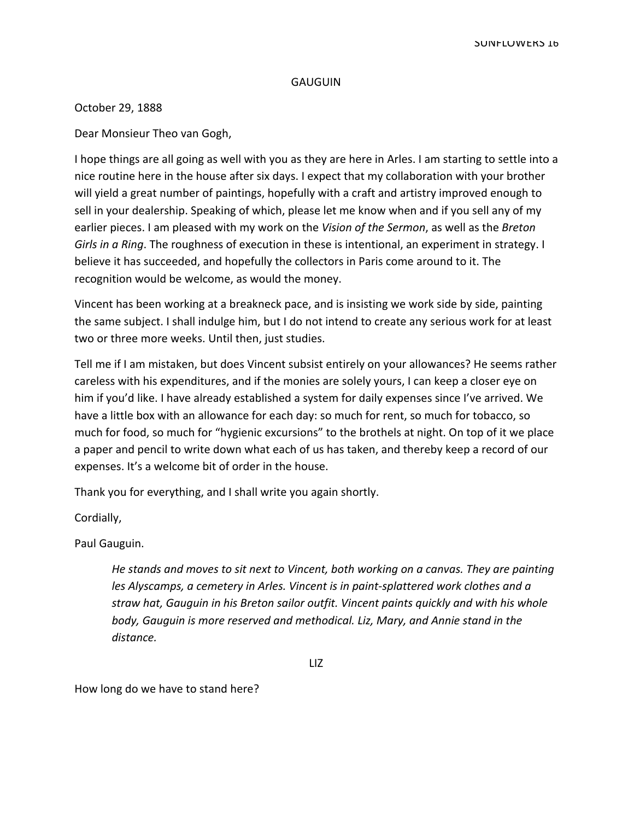October 29, 1888

Dear Monsieur Theo van Gogh,

I hope things are all going as well with you as they are here in Arles. I am starting to settle into a nice routine here in the house after six days. I expect that my collaboration with your brother will yield a great number of paintings, hopefully with a craft and artistry improved enough to sell in your dealership. Speaking of which, please let me know when and if you sell any of my earlier pieces. I am pleased with my work on the Vision of the Sermon, as well as the Breton Girls in a Ring. The roughness of execution in these is intentional, an experiment in strategy. I believe it has succeeded, and hopefully the collectors in Paris come around to it. The recognition would be welcome, as would the money.

Vincent has been working at a breakneck pace, and is insisting we work side by side, painting the same subject. I shall indulge him, but I do not intend to create any serious work for at least two or three more weeks. Until then, just studies.

Tell me if I am mistaken, but does Vincent subsist entirely on your allowances? He seems rather careless with his expenditures, and if the monies are solely yours, I can keep a closer eye on him if you'd like. I have already established a system for daily expenses since I've arrived. We have a little box with an allowance for each day: so much for rent, so much for tobacco, so much for food, so much for "hygienic excursions" to the brothels at night. On top of it we place a paper and pencil to write down what each of us has taken, and thereby keep a record of our expenses. It's a welcome bit of order in the house.

Thank you for everything, and I shall write you again shortly.

Cordially,

Paul Gauguin.

He stands and moves to sit next to Vincent, both working on a canvas. They are painting les Alyscamps, a cemetery in Arles. Vincent is in paint-splattered work clothes and a straw hat, Gauguin in his Breton sailor outfit. Vincent paints quickly and with his whole body, Gauguin is more reserved and methodical. Liz, Mary, and Annie stand in the distance.

How long do we have to stand here?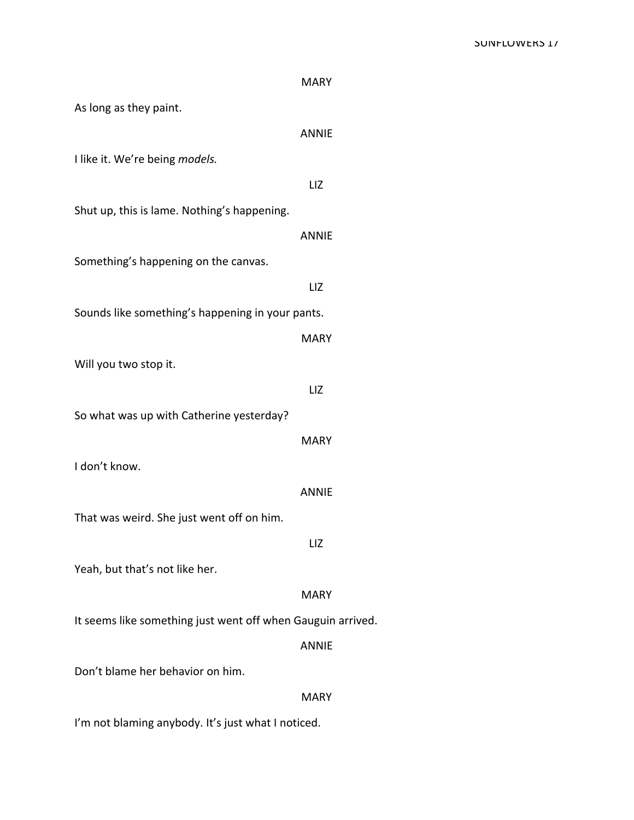## SUNFLUWERS 1/

|                                                             | <b>MARY</b>  |
|-------------------------------------------------------------|--------------|
| As long as they paint.                                      |              |
|                                                             | <b>ANNIE</b> |
| I like it. We're being models.                              |              |
|                                                             | LIZ          |
| Shut up, this is lame. Nothing's happening.                 |              |
|                                                             | <b>ANNIE</b> |
| Something's happening on the canvas.                        |              |
|                                                             | LIZ          |
| Sounds like something's happening in your pants.            |              |
|                                                             | <b>MARY</b>  |
| Will you two stop it.                                       |              |
|                                                             | LIZ          |
| So what was up with Catherine yesterday?                    |              |
|                                                             | <b>MARY</b>  |
| I don't know.                                               |              |
|                                                             | ANNIE        |
| That was weird. She just went off on him.                   |              |
|                                                             | LIZ          |
| Yeah, but that's not like her.                              |              |
|                                                             | <b>MARY</b>  |
| It seems like something just went off when Gauguin arrived. | <b>ANNIE</b> |
| Don't blame her behavior on him.                            |              |
|                                                             | <b>MARY</b>  |
| I'm not blaming anybody. It's just what I noticed.          |              |
|                                                             |              |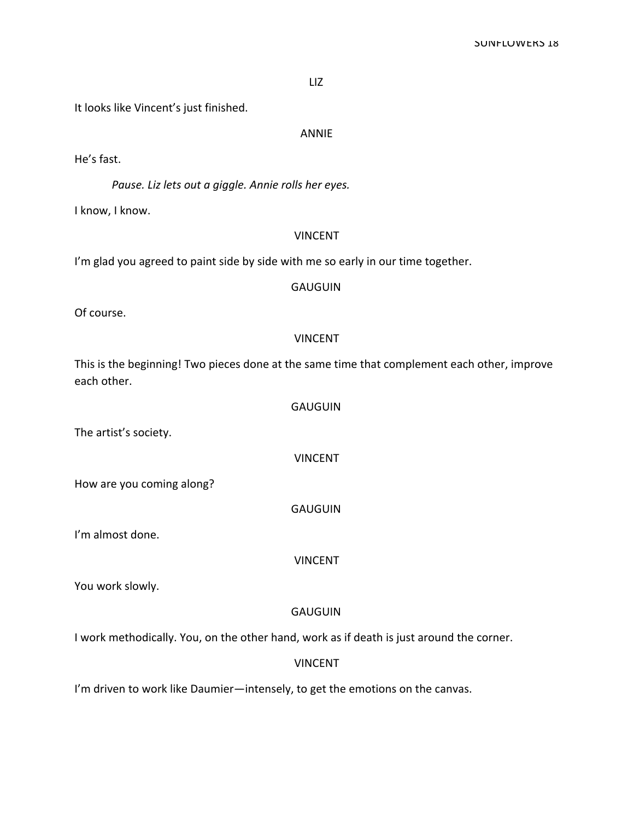LIZ

It looks like Vincent's just finished.

ANNIE

He's fast.

Pause. Liz lets out a giggle. Annie rolls her eyes.

I know, I know.

#### VINCENT

I'm glad you agreed to paint side by side with me so early in our time together.

## **GAUGUIN**

Of course.

#### VINCENT

This is the beginning! Two pieces done at the same time that complement each other, improve each other.

**GAUGUIN** 

VINCENT

The artist's society.

How are you coming along?

GAUGUIN

I'm almost done.

VINCENT

You work slowly.

## **GAUGUIN**

I work methodically. You, on the other hand, work as if death is just around the corner.

## VINCENT

I'm driven to work like Daumier-intensely, to get the emotions on the canvas.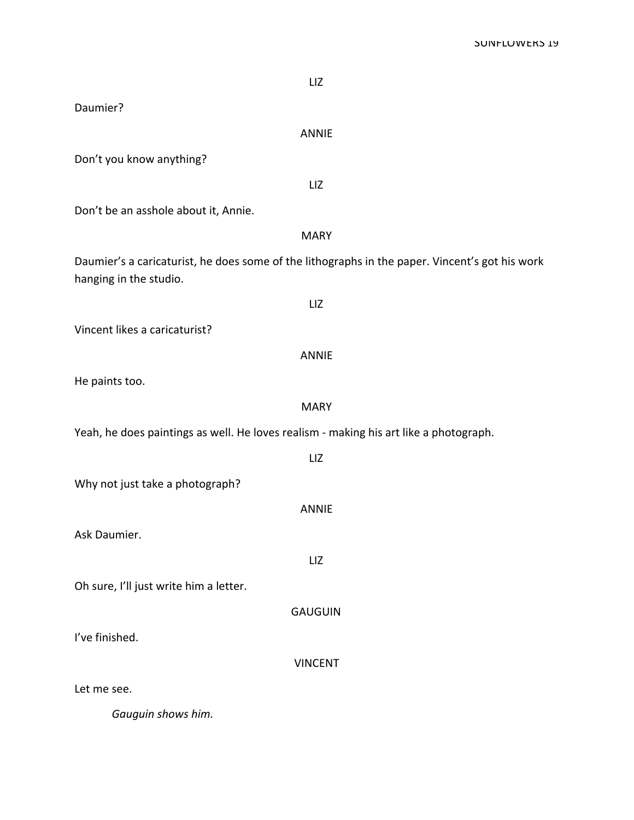| LIZ                                                                                                                      |
|--------------------------------------------------------------------------------------------------------------------------|
| Daumier?                                                                                                                 |
| <b>ANNIE</b>                                                                                                             |
| Don't you know anything?                                                                                                 |
| LIZ                                                                                                                      |
| Don't be an asshole about it, Annie.                                                                                     |
| <b>MARY</b>                                                                                                              |
| Daumier's a caricaturist, he does some of the lithographs in the paper. Vincent's got his work<br>hanging in the studio. |
| LIZ                                                                                                                      |
| Vincent likes a caricaturist?                                                                                            |
| <b>ANNIE</b>                                                                                                             |
| He paints too.                                                                                                           |
| <b>MARY</b>                                                                                                              |
| Yeah, he does paintings as well. He loves realism - making his art like a photograph.                                    |
| LIZ                                                                                                                      |
| Why not just take a photograph?                                                                                          |
| <b>ANNIE</b>                                                                                                             |
| Ask Daumier.                                                                                                             |
| LIZ                                                                                                                      |
| Oh sure, I'll just write him a letter.                                                                                   |
| <b>GAUGUIN</b>                                                                                                           |
| I've finished.                                                                                                           |
| <b>VINCENT</b>                                                                                                           |
| Let me see.                                                                                                              |
| Gauguin shows him.                                                                                                       |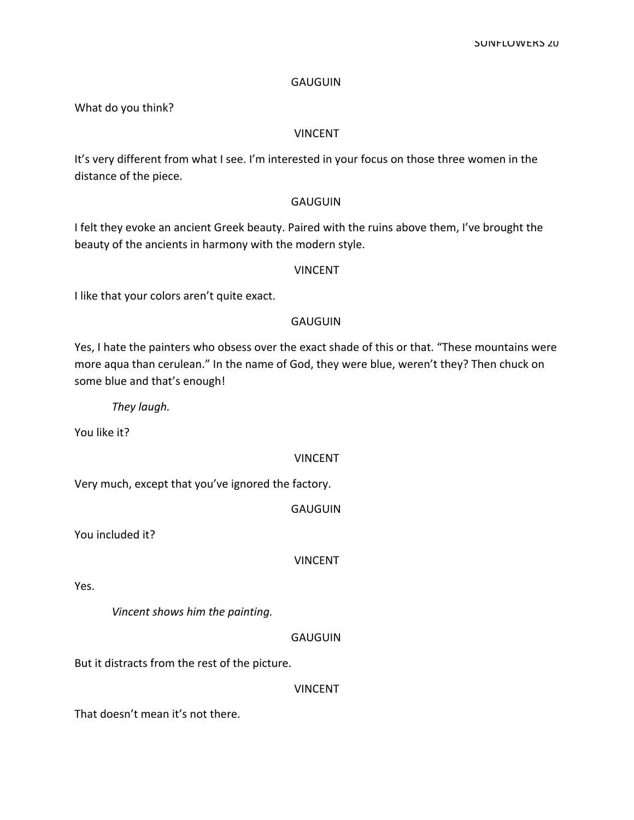What do you think?

## VINCENT

It's very different from what I see. I'm interested in your focus on those three women in the distance of the piece.

## GAUGUIN

I felt they evoke an ancient Greek beauty. Paired with the ruins above them, I've brought the beauty of the ancients in harmony with the modern style.

#### VINCENT

I like that your colors aren't quite exact.

## GAUGUIN

Yes, I hate the painters who obsess over the exact shade of this or that. "These mountains were more aqua than cerulean." In the name of God, they were blue, weren't they? Then chuck on some blue and that's enough!

They laugh.

You like it?

## VINCENT

Very much, except that you've ignored the factory.

**GAUGUIN** 

You included it?

VINCENT

Yes.

Vincent shows him the painting.

GAUGUIN

But it distracts from the rest of the picture.

VINCENT

That doesn't mean it's not there.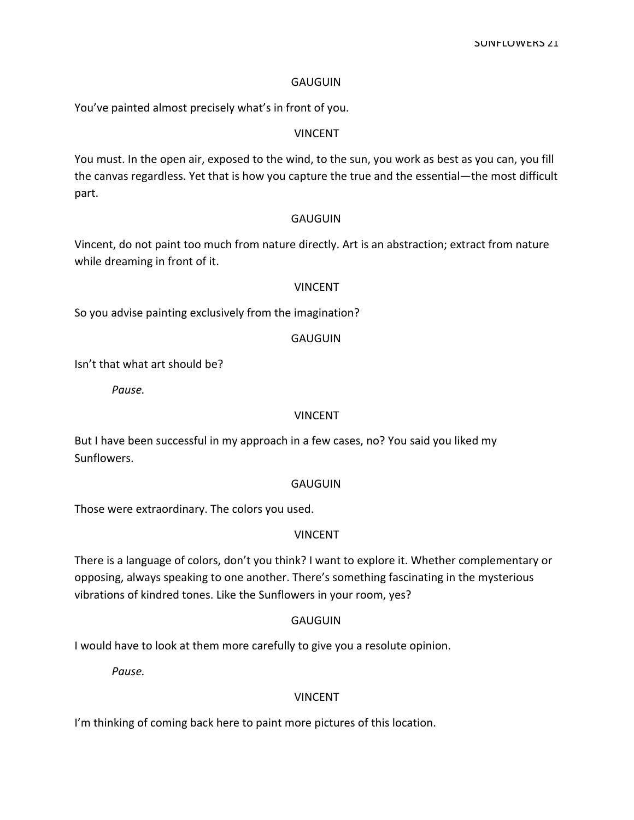You've painted almost precisely what's in front of you.

#### VINCENT

You must. In the open air, exposed to the wind, to the sun, you work as best as you can, you fill the canvas regardless. Yet that is how you capture the true and the essential—the most difficult part.

#### GAUGUIN

Vincent, do not paint too much from nature directly. Art is an abstraction; extract from nature while dreaming in front of it.

#### **VINCENT**

So you advise painting exclusively from the imagination?

## **GAUGUIN**

Isn't that what art should be?

Pause.

#### VINCENT

But I have been successful in my approach in a few cases, no? You said you liked my Sunflowers.

## **GAUGUIN**

Those were extraordinary. The colors you used.

## VINCENT

There is a language of colors, don't you think? I want to explore it. Whether complementary or opposing, always speaking to one another. There's something fascinating in the mysterious vibrations of kindred tones. Like the Sunflowers in your room, yes?

## **GAUGUIN**

I would have to look at them more carefully to give you a resolute opinion.

Pause.

#### **VINCENT**

I'm thinking of coming back here to paint more pictures of this location.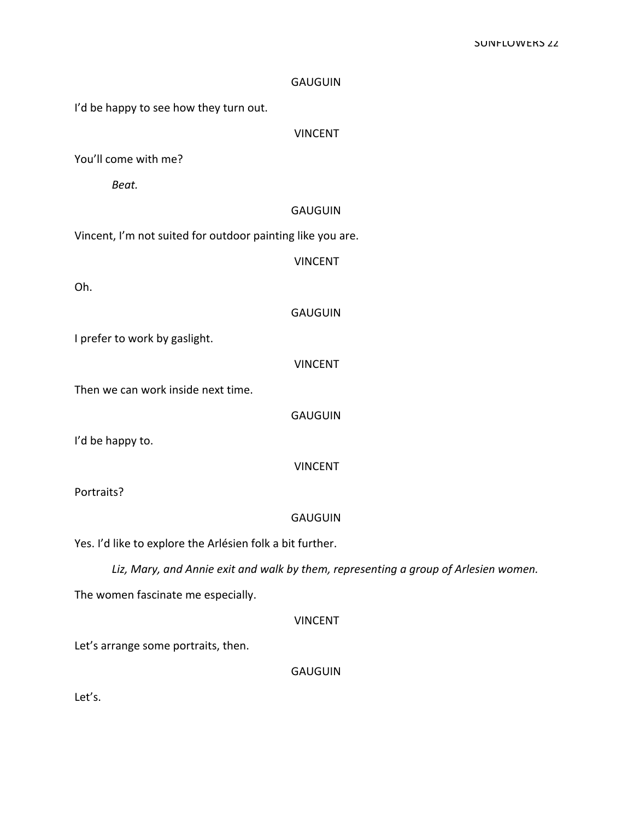|                                                            | <b>GAUGUIN</b>                                                                      |
|------------------------------------------------------------|-------------------------------------------------------------------------------------|
| I'd be happy to see how they turn out.                     |                                                                                     |
|                                                            | <b>VINCENT</b>                                                                      |
| You'll come with me?                                       |                                                                                     |
| Beat.                                                      |                                                                                     |
|                                                            | <b>GAUGUIN</b>                                                                      |
| Vincent, I'm not suited for outdoor painting like you are. |                                                                                     |
|                                                            | <b>VINCENT</b>                                                                      |
| Oh.                                                        |                                                                                     |
|                                                            | <b>GAUGUIN</b>                                                                      |
| I prefer to work by gaslight.                              |                                                                                     |
|                                                            | <b>VINCENT</b>                                                                      |
| Then we can work inside next time.                         |                                                                                     |
|                                                            | <b>GAUGUIN</b>                                                                      |
| I'd be happy to.                                           |                                                                                     |
|                                                            | <b>VINCENT</b>                                                                      |
| Portraits?                                                 |                                                                                     |
|                                                            | <b>GAUGUIN</b>                                                                      |
| Yes. I'd like to explore the Arlésien folk a bit further.  |                                                                                     |
|                                                            | Liz, Mary, and Annie exit and walk by them, representing a group of Arlesien women. |
| The women fascinate me especially.                         |                                                                                     |
|                                                            | <b>VINCENT</b>                                                                      |
| Let's arrange some portraits, then.                        |                                                                                     |
|                                                            |                                                                                     |

Let's.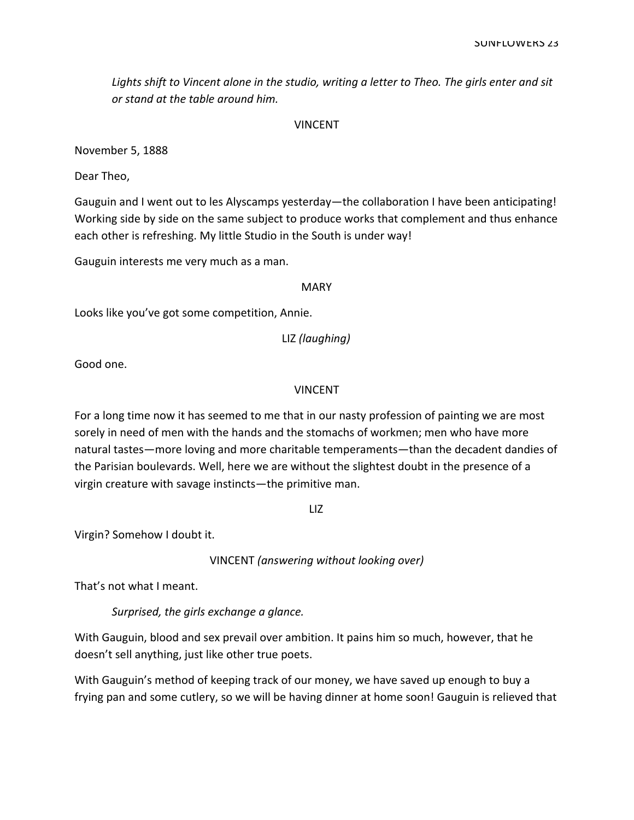Lights shift to Vincent alone in the studio, writing a letter to Theo. The girls enter and sit or stand at the table around him.

#### VINCENT

November 5, 1888

Dear Theo,

Gauguin and I went out to les Alyscamps yesterday—the collaboration I have been anticipating! Working side by side on the same subject to produce works that complement and thus enhance each other is refreshing. My little Studio in the South is under way!

Gauguin interests me very much as a man.

#### MARY

Looks like you've got some competition, Annie.

LIZ (laughing)

Good one.

#### VINCENT

For a long time now it has seemed to me that in our nasty profession of painting we are most sorely in need of men with the hands and the stomachs of workmen; men who have more natural tastes—more loving and more charitable temperaments—than the decadent dandies of the Parisian boulevards. Well, here we are without the slightest doubt in the presence of a virgin creature with savage instincts—the primitive man.

LIZ

Virgin? Somehow I doubt it.

VINCENT (answering without looking over)

That's not what I meant.

Surprised, the girls exchange a glance.

With Gauguin, blood and sex prevail over ambition. It pains him so much, however, that he doesn't sell anything, just like other true poets.

With Gauguin's method of keeping track of our money, we have saved up enough to buy a frying pan and some cutlery, so we will be having dinner at home soon! Gauguin is relieved that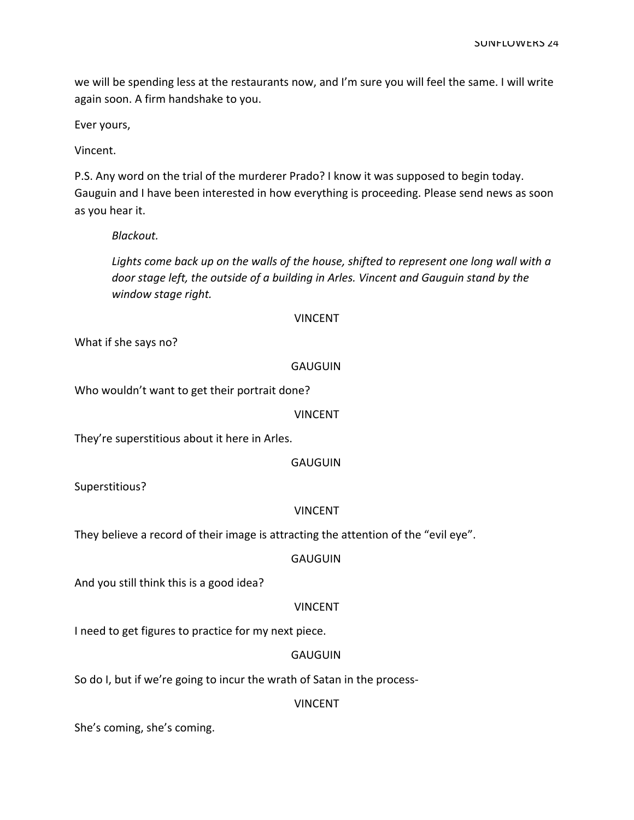we will be spending less at the restaurants now, and I'm sure you will feel the same. I will write again soon. A firm handshake to you.

Ever yours,

Vincent.

P.S. Any word on the trial of the murderer Prado? I know it was supposed to begin today. Gauguin and I have been interested in how everything is proceeding. Please send news as soon as you hear it.

Blackout.

Lights come back up on the walls of the house, shifted to represent one long wall with a door stage left, the outside of a building in Arles. Vincent and Gauguin stand by the window stage right.

## VINCENT

What if she says no?

#### GAUGUIN

Who wouldn't want to get their portrait done?

#### VINCENT

They're superstitious about it here in Arles.

## **GAUGUIN**

Superstitious?

#### VINCENT

They believe a record of their image is attracting the attention of the "evil eye".

#### GAUGUIN

And you still think this is a good idea?

#### VINCENT

I need to get figures to practice for my next piece.

## **GAUGUIN**

So do I, but if we're going to incur the wrath of Satan in the process-

#### VINCENT

She's coming, she's coming.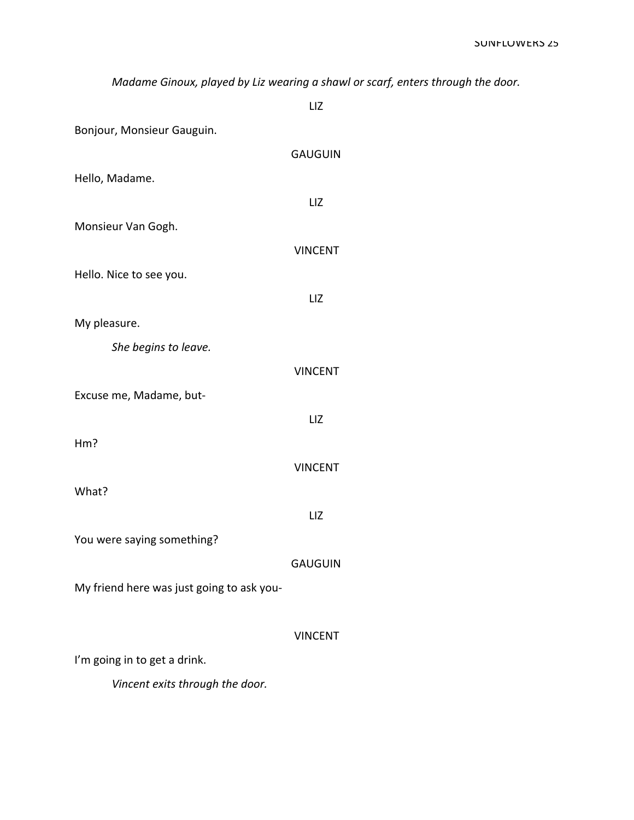Madame Ginoux, played by Liz wearing a shawl or scarf, enters through the door.

LIZ Bonjour, Monsieur Gauguin. **GAUGUIN** Hello, Madame. LIZ Monsieur Van Gogh. **VINCENT** Hello. Nice to see you. LIZ My pleasure. She begins to leave. **VINCENT** Excuse me, Madame, but-LIZ  $Hm?$ **VINCENT** What? LIZ You were saying something? **GAUGUIN** My friend here was just going to ask you-**VINCENT** I'm going in to get a drink. Vincent exits through the door.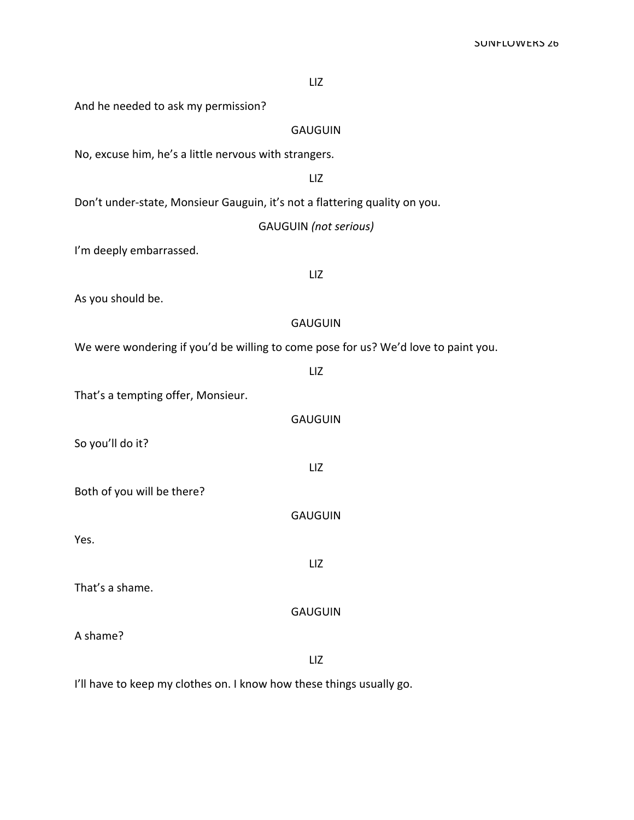|  | <b>SUINFLUWERS 26</b> |  |
|--|-----------------------|--|
|  |                       |  |

LIZ

And he needed to ask my permission?

GAUGUIN

No, excuse him, he's a little nervous with strangers.

LIZ

Don't under-state, Monsieur Gauguin, it's not a flattering quality on you.

GAUGUIN (not serious)

I'm deeply embarrassed.

LIZ

As you should be.

#### GAUGUIN

LIZ

GAUGUIN

We were wondering if you'd be willing to come pose for us? We'd love to paint you.

That's a tempting offer, Monsieur.

|                            | <b>GAUGUIN</b> |
|----------------------------|----------------|
| So you'll do it?           |                |
|                            | LIZ            |
| Both of you will be there? |                |
|                            | <b>GAUGUIN</b> |
| Yes.                       |                |
|                            | LIZ            |
| That's a shame.            |                |

A shame?

LIZ

I'll have to keep my clothes on. I know how these things usually go.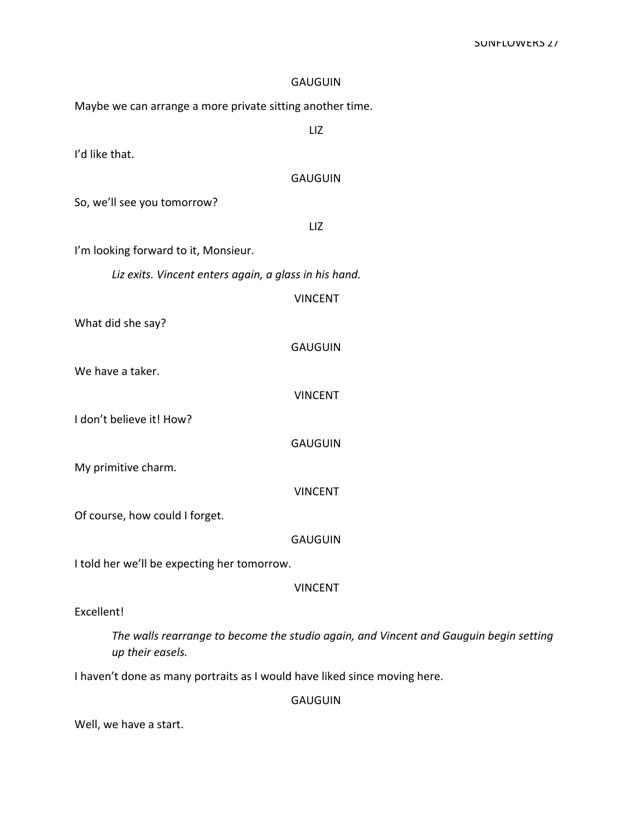| <b>GAUGUIN</b>                                                                                            |
|-----------------------------------------------------------------------------------------------------------|
| Maybe we can arrange a more private sitting another time.                                                 |
| LIZ                                                                                                       |
| I'd like that.                                                                                            |
| <b>GAUGUIN</b>                                                                                            |
| So, we'll see you tomorrow?                                                                               |
| LIZ                                                                                                       |
| I'm looking forward to it, Monsieur.                                                                      |
| Liz exits. Vincent enters again, a glass in his hand.                                                     |
| <b>VINCENT</b>                                                                                            |
| What did she say?                                                                                         |
| <b>GAUGUIN</b>                                                                                            |
| We have a taker.                                                                                          |
| <b>VINCENT</b>                                                                                            |
| I don't believe it! How?                                                                                  |
| <b>GAUGUIN</b>                                                                                            |
| My primitive charm.                                                                                       |
| <b>VINCENT</b>                                                                                            |
| Of course, how could I forget.                                                                            |
| <b>GAUGUIN</b>                                                                                            |
| I told her we'll be expecting her tomorrow.                                                               |
| <b>VINCENT</b>                                                                                            |
| Excellent!                                                                                                |
| The walls rearrange to become the studio again, and Vincent and Gauguin begin setting<br>up their easels. |

I haven't done as many portraits as I would have liked since moving here.

GAUGUIN

Well, we have a start.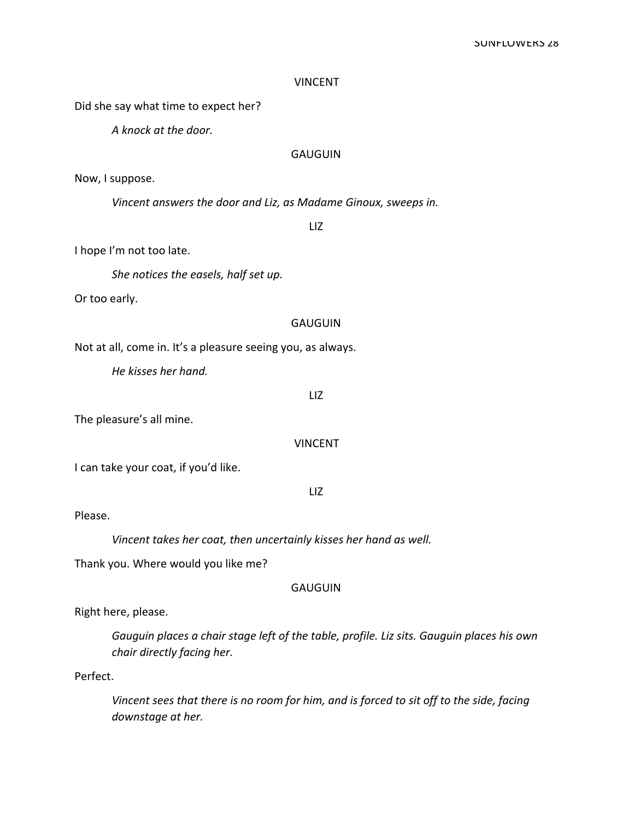## VINCENT

Did she say what time to expect her?

A knock at the door.

## GAUGUIN

Now, I suppose.

Vincent answers the door and Liz, as Madame Ginoux, sweeps in.

LIZ

I hope I'm not too late.

She notices the easels, half set up.

Or too early.

#### **GAUGUIN**

Not at all, come in. It's a pleasure seeing you, as always.

He kisses her hand.

LIZ

The pleasure's all mine.

VINCENT

I can take your coat, if you'd like.

LIZ

Please.

Vincent takes her coat, then uncertainly kisses her hand as well.

Thank you. Where would you like me?

#### **GAUGUIN**

Right here, please.

Gauguin places a chair stage left of the table, profile. Liz sits. Gauguin places his own chair directly facing her.

Perfect.

Vincent sees that there is no room for him, and is forced to sit off to the side, facing downstage at her.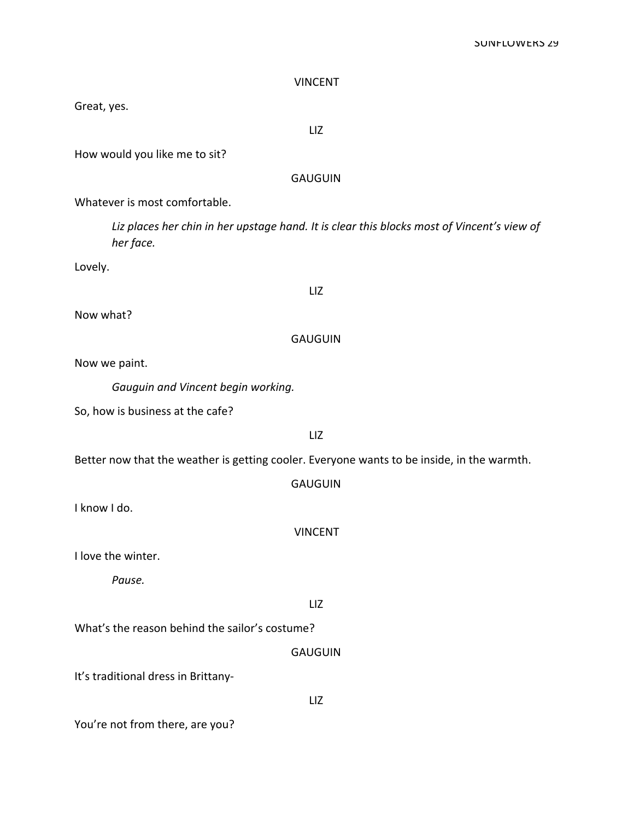## SUNFLUWERS 29

| <b>GAUGUIN</b>                                                                                          |
|---------------------------------------------------------------------------------------------------------|
| Whatever is most comfortable.                                                                           |
| Liz places her chin in her upstage hand. It is clear this blocks most of Vincent's view of<br>her face. |
| Lovely.                                                                                                 |
| LIZ                                                                                                     |
| Now what?                                                                                               |
| <b>GAUGUIN</b>                                                                                          |
| Now we paint.                                                                                           |
| Gauguin and Vincent begin working.                                                                      |
| So, how is business at the cafe?                                                                        |
| LIZ                                                                                                     |
| Better now that the weather is getting cooler. Everyone wants to be inside, in the warmth.              |
| <b>GAUGUIN</b>                                                                                          |
| I know I do.                                                                                            |
| <b>VINCENT</b>                                                                                          |
| I love the winter.                                                                                      |
| Pause.                                                                                                  |
| LIZ                                                                                                     |
| What's the reason behind the sailor's costume?                                                          |
| <b>GAUGUIN</b>                                                                                          |
| It's traditional dress in Brittany-                                                                     |
| LIZ                                                                                                     |

VINCENT

LIZ

You're not from there, are you?

Great, yes.

How would you like me to sit?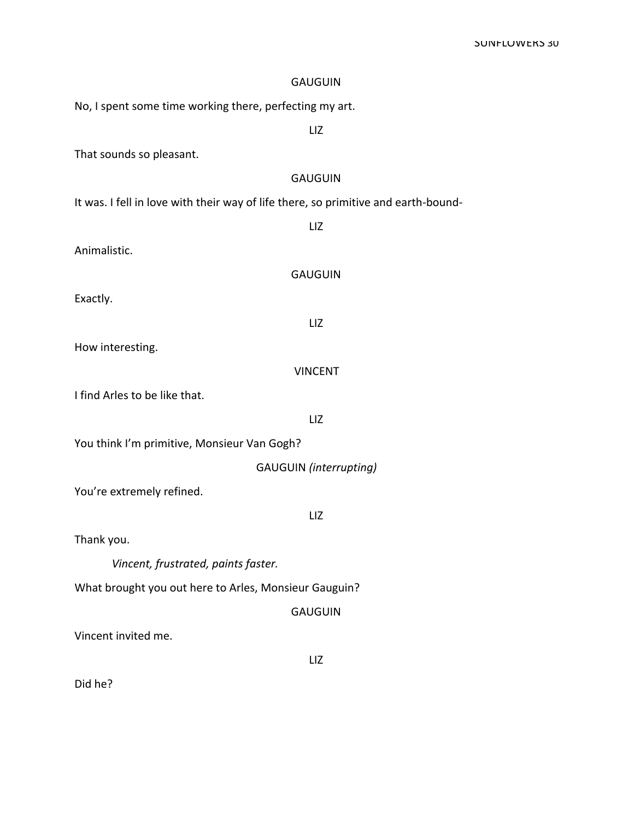| <b>GAUGUIN</b>                                                                     |  |  |  |
|------------------------------------------------------------------------------------|--|--|--|
| No, I spent some time working there, perfecting my art.                            |  |  |  |
| LIZ                                                                                |  |  |  |
| That sounds so pleasant.                                                           |  |  |  |
| <b>GAUGUIN</b>                                                                     |  |  |  |
| It was. I fell in love with their way of life there, so primitive and earth-bound- |  |  |  |
| LIZ                                                                                |  |  |  |
| Animalistic.                                                                       |  |  |  |
| <b>GAUGUIN</b>                                                                     |  |  |  |
| Exactly.                                                                           |  |  |  |
| LIZ                                                                                |  |  |  |
| How interesting.                                                                   |  |  |  |
| <b>VINCENT</b>                                                                     |  |  |  |
| I find Arles to be like that.                                                      |  |  |  |
| LIZ                                                                                |  |  |  |
| You think I'm primitive, Monsieur Van Gogh?                                        |  |  |  |
| <b>GAUGUIN</b> (interrupting)                                                      |  |  |  |
| You're extremely refined.                                                          |  |  |  |
| LIZ                                                                                |  |  |  |
| Thank you.                                                                         |  |  |  |
| Vincent, frustrated, paints faster.                                                |  |  |  |
| What brought you out here to Arles, Monsieur Gauguin?                              |  |  |  |
| <b>GAUGUIN</b>                                                                     |  |  |  |
| Vincent invited me.                                                                |  |  |  |
| LIZ                                                                                |  |  |  |
| Did he?                                                                            |  |  |  |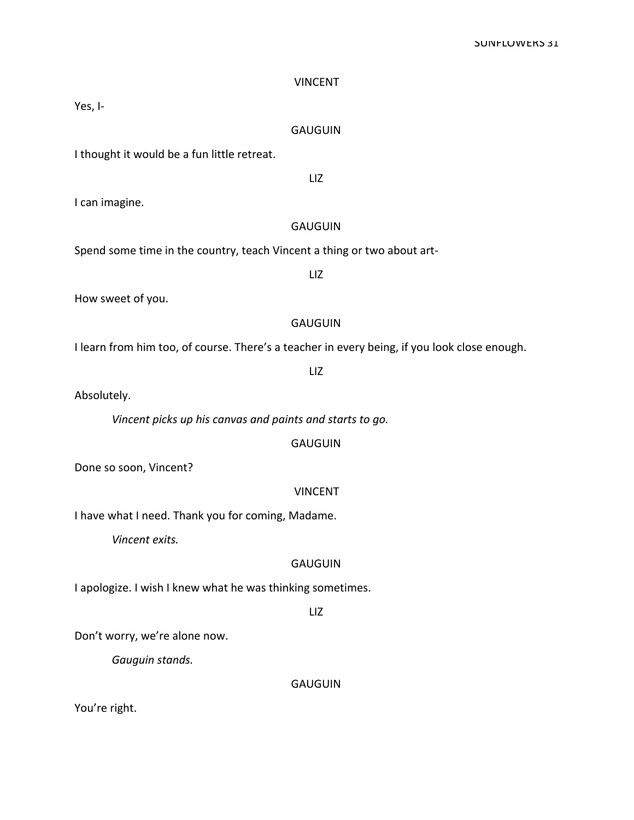| <b>VINCENT</b>                                                                               |
|----------------------------------------------------------------------------------------------|
| Yes, I-                                                                                      |
| <b>GAUGUIN</b>                                                                               |
| I thought it would be a fun little retreat.                                                  |
| LIZ                                                                                          |
| I can imagine.                                                                               |
| <b>GAUGUIN</b>                                                                               |
| Spend some time in the country, teach Vincent a thing or two about art-                      |
| LIZ                                                                                          |
| How sweet of you.                                                                            |
| <b>GAUGUIN</b>                                                                               |
| I learn from him too, of course. There's a teacher in every being, if you look close enough. |
| LIZ                                                                                          |
| Absolutely.                                                                                  |
| Vincent picks up his canvas and paints and starts to go.                                     |
| <b>GAUGUIN</b>                                                                               |
| Done so soon, Vincent?                                                                       |
| <b>VINCENT</b>                                                                               |
| I have what I need. Thank you for coming, Madame.                                            |
| Vincent exits.                                                                               |
| <b>GAUGUIN</b>                                                                               |
| I apologize. I wish I knew what he was thinking sometimes.                                   |

LIZ

Don't worry, we're alone now.

Gauguin stands.

**GAUGUIN** 

You're right.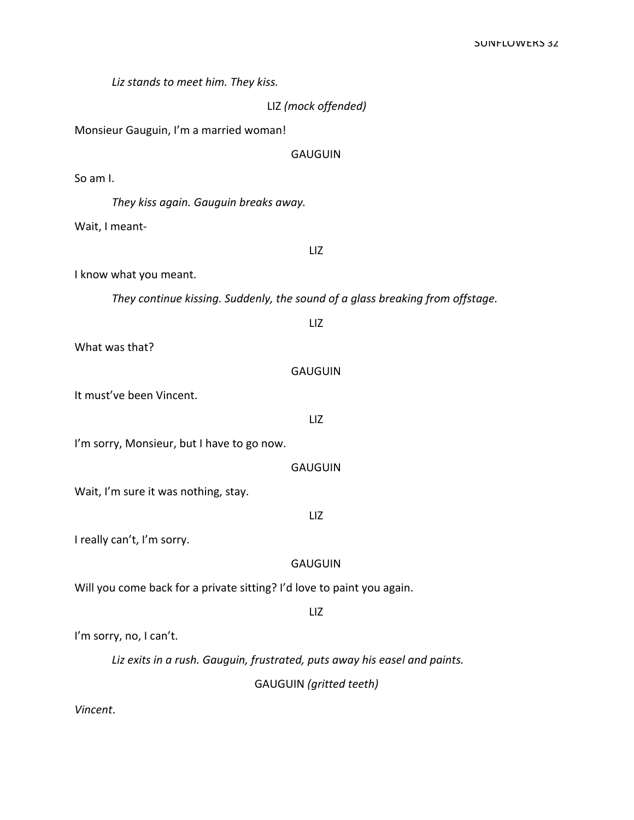Liz stands to meet him. They kiss.

LIZ (mock offended)

Monsieur Gauguin, I'm a married woman!

**GAUGUIN** 

So am  $L$ 

They kiss again. Gauguin breaks away.

Wait, I meant-

LIZ

I know what you meant.

They continue kissing. Suddenly, the sound of a glass breaking from offstage.

LIZ What was that? **GAUGUIN** It must've been Vincent. LIZ I'm sorry, Monsieur, but I have to go now. **GAUGUIN** Wait, I'm sure it was nothing, stay. LIZ I really can't, I'm sorry. **GAUGUIN** Will you come back for a private sitting? I'd love to paint you again. LIZ I'm sorry, no, I can't. Liz exits in a rush. Gauguin, frustrated, puts away his easel and paints.

**GAUGUIN** (gritted teeth)

Vincent.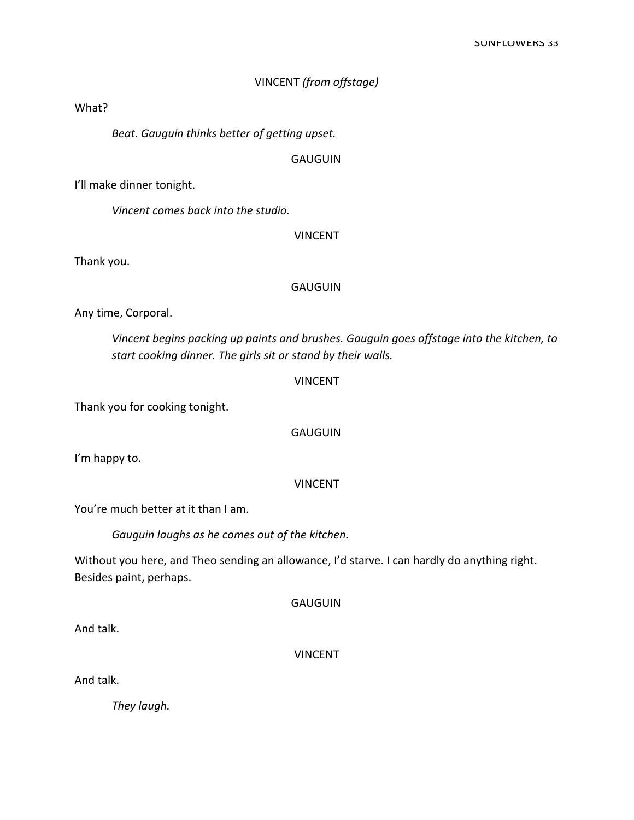## VINCENT (from offstage)

#### What?

Beat. Gauguin thinks better of getting upset.

## **GAUGUIN**

I'll make dinner tonight.

Vincent comes back into the studio.

## VINCENT

Thank you.

## **GAUGUIN**

Any time, Corporal.

Vincent begins packing up paints and brushes. Gauguin goes offstage into the kitchen, to start cooking dinner. The girls sit or stand by their walls.

## VINCENT

Thank you for cooking tonight.

## **GAUGUIN**

I'm happy to.

## VINCENT

You're much better at it than I am.

Gauguin laughs as he comes out of the kitchen.

Without you here, and Theo sending an allowance, I'd starve. I can hardly do anything right. Besides paint, perhaps.

GAUGUIN

And talk.

VINCENT

And talk.

They laugh.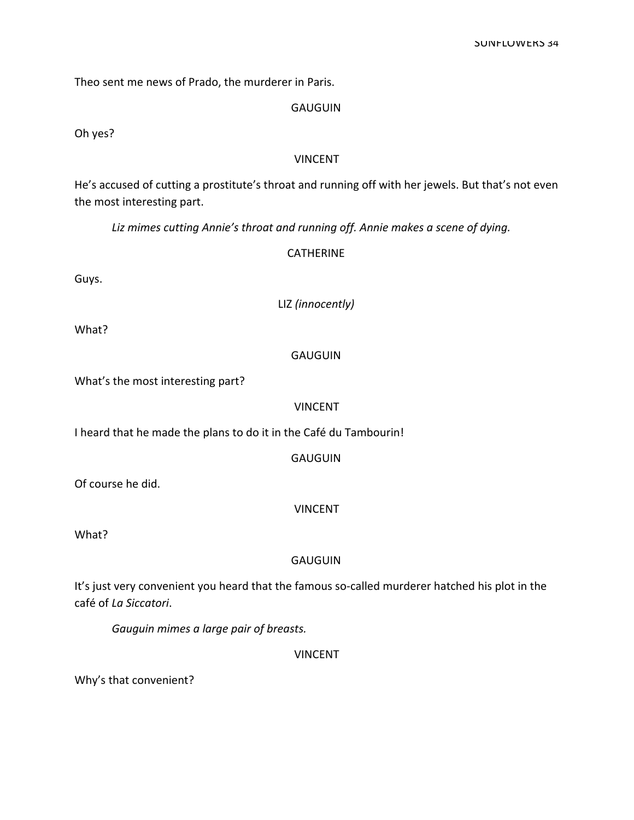Theo sent me news of Prado, the murderer in Paris.

## **GAUGUIN**

Oh yes?

## **VINCENT**

He's accused of cutting a prostitute's throat and running off with her jewels. But that's not even the most interesting part.

Liz mimes cutting Annie's throat and running off. Annie makes a scene of dying.

## **CATHERINE**

Guys.

LIZ (innocently)

What?

## **GAUGUIN**

What's the most interesting part?

## **VINCENT**

I heard that he made the plans to do it in the Café du Tambourin!

**GAUGUIN** 

Of course he did.

## **VINCENT**

What?

## **GAUGUIN**

It's just very convenient you heard that the famous so-called murderer hatched his plot in the café of La Siccatori.

Gauguin mimes a large pair of breasts.

**VINCENT** 

Why's that convenient?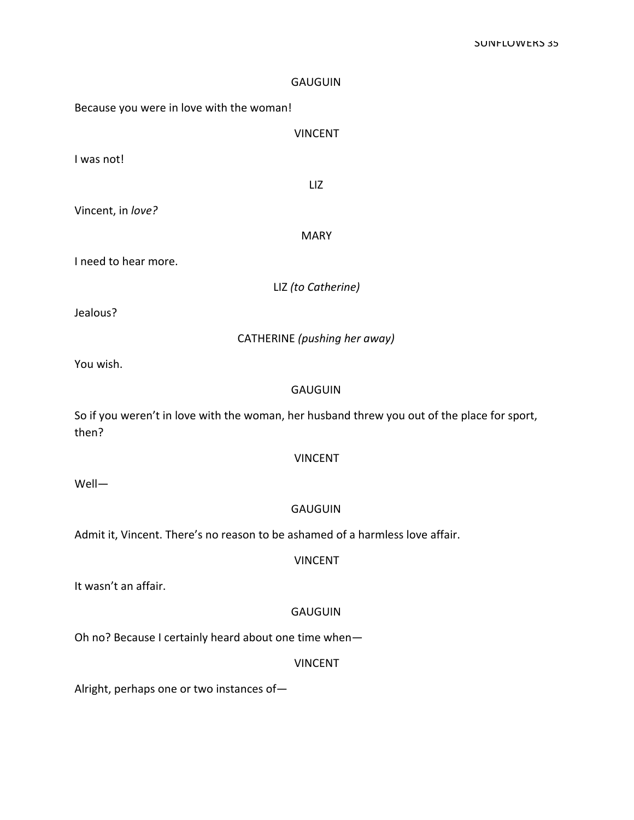| <b>GAUGUIN</b>                                                                                       |
|------------------------------------------------------------------------------------------------------|
| Because you were in love with the woman!                                                             |
| <b>VINCENT</b>                                                                                       |
| I was not!                                                                                           |
| LIZ                                                                                                  |
| Vincent, in love?                                                                                    |
| <b>MARY</b>                                                                                          |
| I need to hear more.                                                                                 |
| LIZ (to Catherine)                                                                                   |
| Jealous?                                                                                             |
| CATHERINE (pushing her away)                                                                         |
| You wish.                                                                                            |
| <b>GAUGUIN</b>                                                                                       |
| So if you weren't in love with the woman, her husband threw you out of the place for sport,<br>then? |
| <b>VINCENT</b>                                                                                       |
| Well-                                                                                                |
| <b>GAUGUIN</b>                                                                                       |
| Admit it, Vincent. There's no reason to be ashamed of a harmless love affair.                        |
| <b>VINCENT</b>                                                                                       |
| It wasn't an affair.                                                                                 |
| <b>GAUGUIN</b>                                                                                       |
| Oh no? Because I certainly heard about one time when-                                                |
| <b>VINCENT</b>                                                                                       |
| Alright, perhaps one or two instances of-                                                            |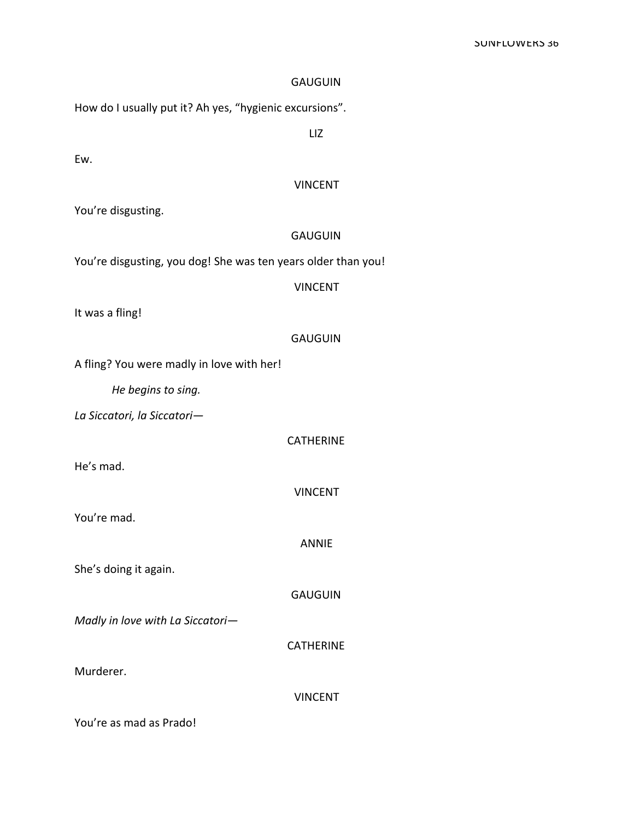#### SUNFLUWERS 36

## **GAUGUIN**

How do I usually put it? Ah yes, "hygienic excursions".

## LIZ

Ew.

#### VINCENT

You're disgusting.

## GAUGUIN

You're disgusting, you dog! She was ten years older than you!

## VINCENT

It was a fling!

#### **GAUGUIN**

A fling? You were madly in love with her!

He begins to sing.

La Siccatori, la Siccatori-

**CATHERINE** 

He's mad.

VINCENT

You're mad.

ANNIE

She's doing it again.

GAUGUIN

Madly in love with La Siccatori-

CATHERINE

Murderer.

VINCENT

You're as mad as Prado!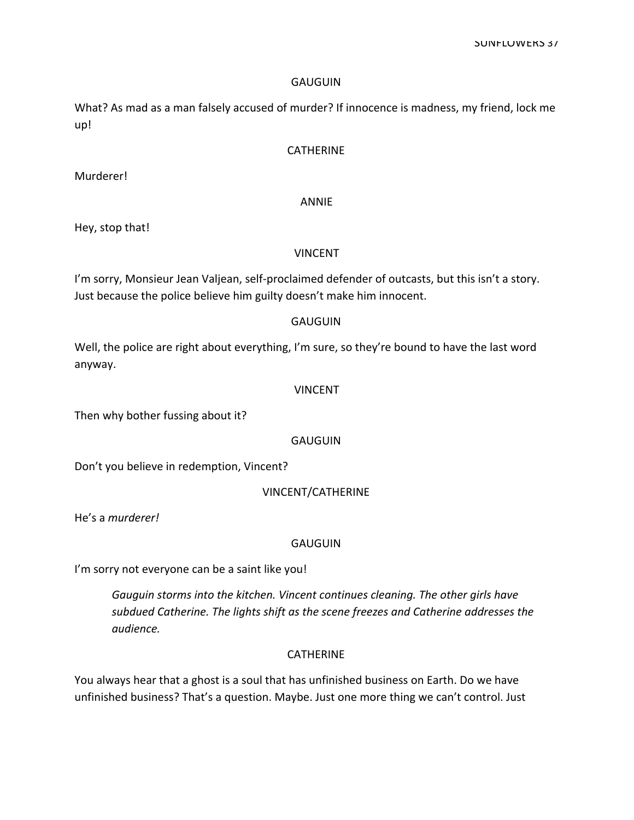What? As mad as a man falsely accused of murder? If innocence is madness, my friend, lock me up!

## **CATHERINE**

Murderer!

## ANNIE

Hey, stop that!

#### VINCENT

I'm sorry, Monsieur Jean Valjean, self-proclaimed defender of outcasts, but this isn't a story. Just because the police believe him guilty doesn't make him innocent.

#### **GAUGUIN**

Well, the police are right about everything, I'm sure, so they're bound to have the last word anyway.

#### VINCENT

Then why bother fussing about it?

#### **GAUGUIN**

Don't you believe in redemption, Vincent?

#### VINCENT/CATHERINE

He's a *murderer!* 

#### **GAUGUIN**

I'm sorry not everyone can be a saint like you!

Gauguin storms into the kitchen. Vincent continues cleaning. The other girls have subdued Catherine. The lights shift as the scene freezes and Catherine addresses the audience.

## CATHERINE

You always hear that a ghost is a soul that has unfinished business on Earth. Do we have unfinished business? That's a question. Maybe. Just one more thing we can't control. Just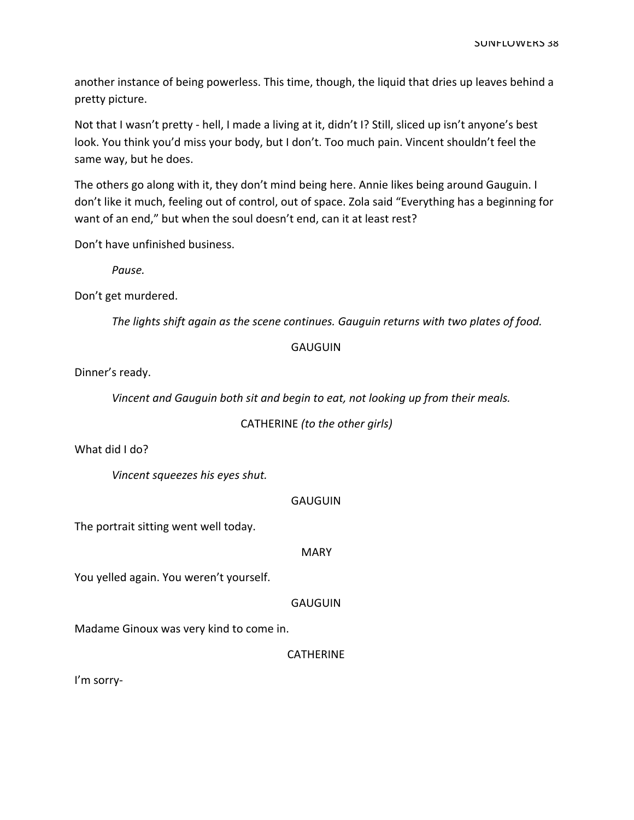another instance of being powerless. This time, though, the liquid that dries up leaves behind a pretty picture.

Not that I wasn't pretty - hell, I made a living at it, didn't I? Still, sliced up isn't anyone's best look. You think you'd miss your body, but I don't. Too much pain. Vincent shouldn't feel the same way, but he does.

The others go along with it, they don't mind being here. Annie likes being around Gauguin. I don't like it much, feeling out of control, out of space. Zola said "Everything has a beginning for want of an end," but when the soul doesn't end, can it at least rest?

Don't have unfinished business.

Pause.

Don't get murdered.

The lights shift again as the scene continues. Gauguin returns with two plates of food.

## **GAUGUIN**

Dinner's ready.

Vincent and Gauguin both sit and begin to eat, not looking up from their meals.

CATHERINE (to the other girls)

What did I do?

Vincent squeezes his eyes shut.

#### **GAUGUIN**

The portrait sitting went well today.

**MARY** 

You yelled again. You weren't yourself.

**GAUGUIN** 

Madame Ginoux was very kind to come in.

CATHERINE

I'm sorry-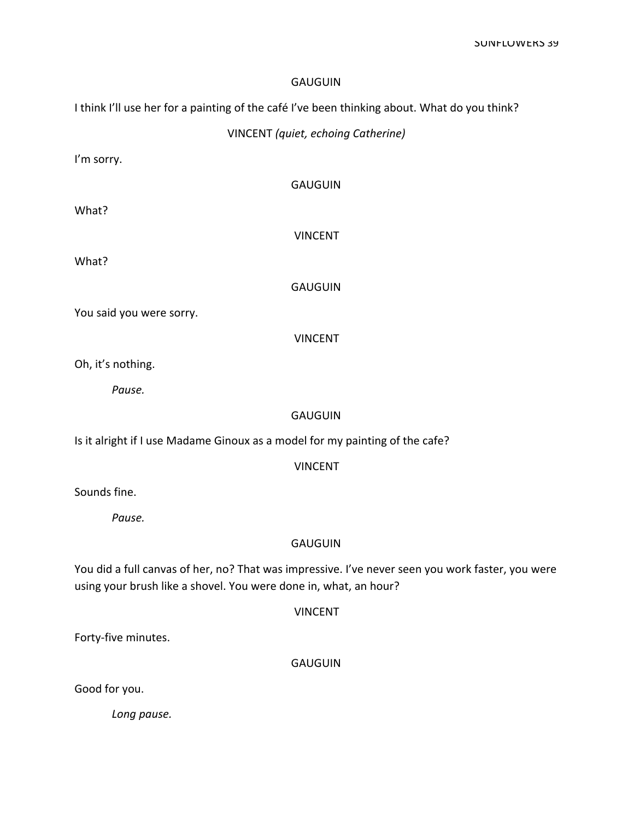I think I'll use her for a painting of the café I've been thinking about. What do you think?

VINCENT (quiet, echoing Catherine)

I'm sorry.

**GAUGUIN** 

What?

VINCENT

What?

**GAUGUIN** 

You said you were sorry.

VINCENT

Oh, it's nothing.

Pause.

## **GAUGUIN**

Is it alright if I use Madame Ginoux as a model for my painting of the cafe?

VINCENT

Sounds fine.

Pause.

## **GAUGUIN**

You did a full canvas of her, no? That was impressive. I've never seen you work faster, you were using your brush like a shovel. You were done in, what, an hour?

| <b>VINCENT</b> |
|----------------|
|----------------|

Forty-five minutes.

GAUGUIN

Good for you.

Long pause.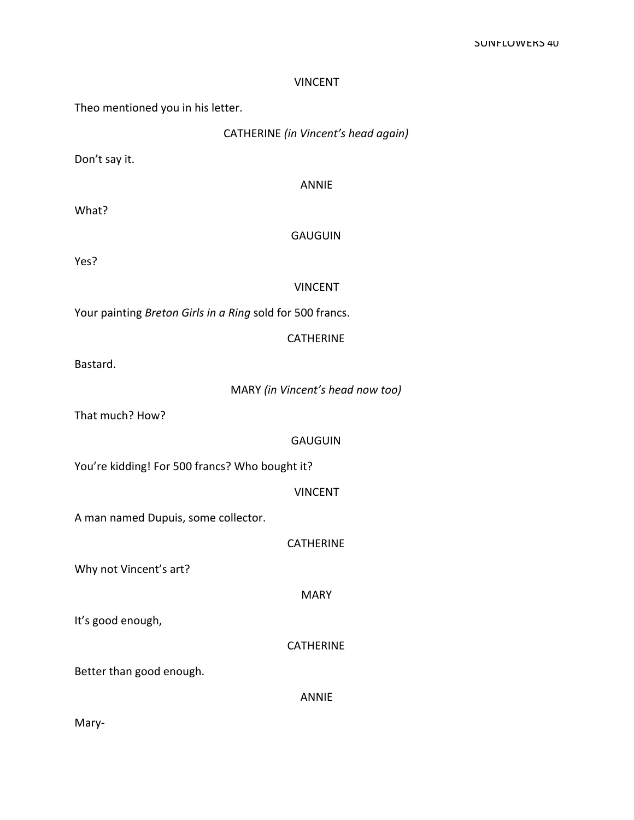## VINCENT

Theo mentioned you in his letter.

| CATHERINE (in Vincent's head again) |  |  |  |  |  |
|-------------------------------------|--|--|--|--|--|
|-------------------------------------|--|--|--|--|--|

Don't say it.

ANNIE

What?

#### GAUGUIN

Yes?

## VINCENT

Your painting Breton Girls in a Ring sold for 500 francs.

## **CATHERINE**

Bastard.

MARY (in Vincent's head now too)

That much? How?

#### GAUGUIN

You're kidding! For 500 francs? Who bought it?

VINCENT

A man named Dupuis, some collector.

CATHERINE

Why not Vincent's art?

MARY

It's good enough,

CATHERINE

Better than good enough.

ANNIE

Mary-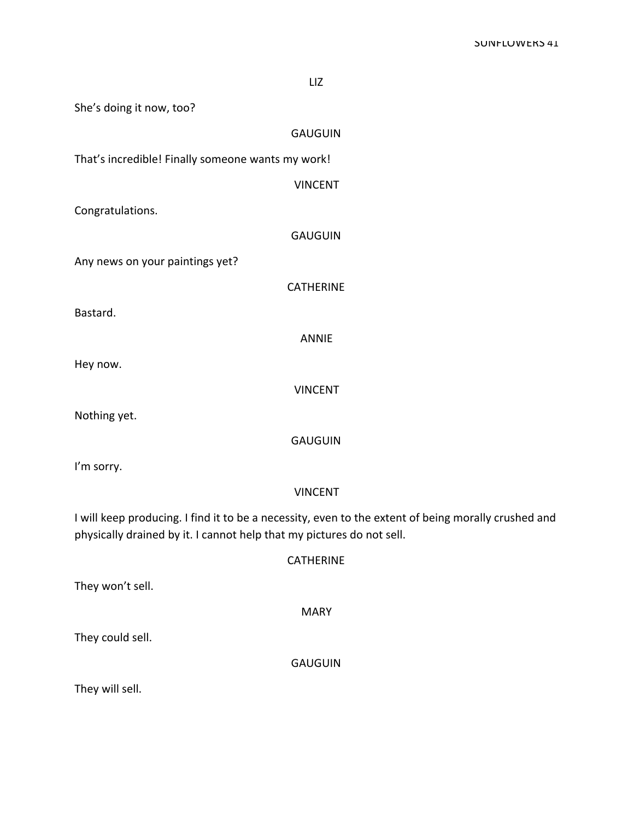LIZ She's doing it now, too? GAUGUIN That's incredible! Finally someone wants my work! VINCENT Congratulations. GAUGUIN Any news on your paintings yet? CATHERINE Bastard. ANNIE Hey now. VINCENT Nothing yet. GAUGUIN I'm sorry. VINCENT I will keep producing. I find it to be a necessity, even to the extent of being morally crushed and physically drained by it. I cannot help that my pictures do not sell. **CATHERINE** They won't sell.

They could sell.

GAUGUIN

MARY

They will sell.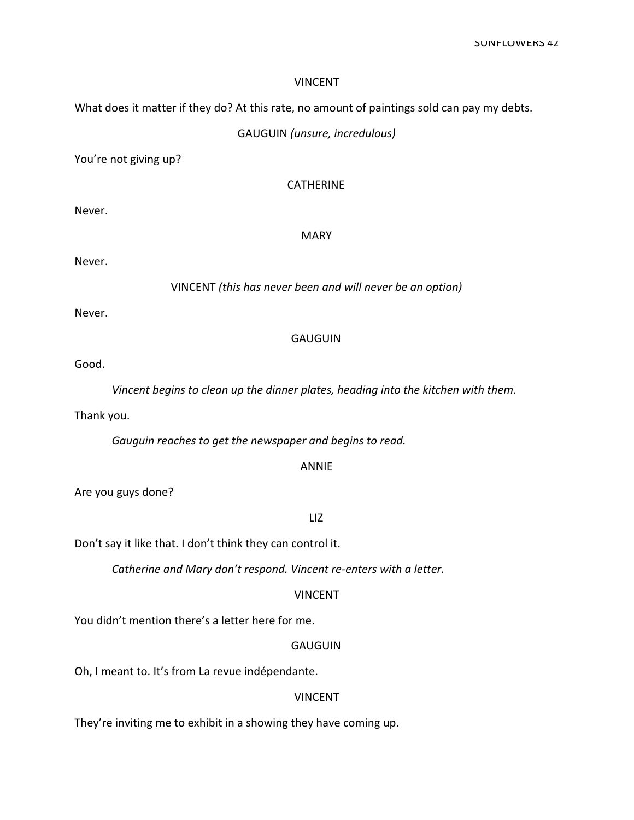## VINCENT

What does it matter if they do? At this rate, no amount of paintings sold can pay my debts.

## GAUGUIN (unsure, incredulous)

You're not giving up?

## CATHERINE

Never.

#### MARY

Never.

VINCENT (this has never been and will never be an option)

Never.

#### **GAUGUIN**

Good.

Vincent begins to clean up the dinner plates, heading into the kitchen with them.

Thank you.

Gauguin reaches to get the newspaper and begins to read.

#### ANNIE

Are you guys done?

#### LIZ

Don't say it like that. I don't think they can control it.

Catherine and Mary don't respond. Vincent re-enters with a letter.

#### VINCENT

You didn't mention there's a letter here for me.

#### GAUGUIN

Oh, I meant to. It's from La revue indépendante.

## VINCENT

They're inviting me to exhibit in a showing they have coming up.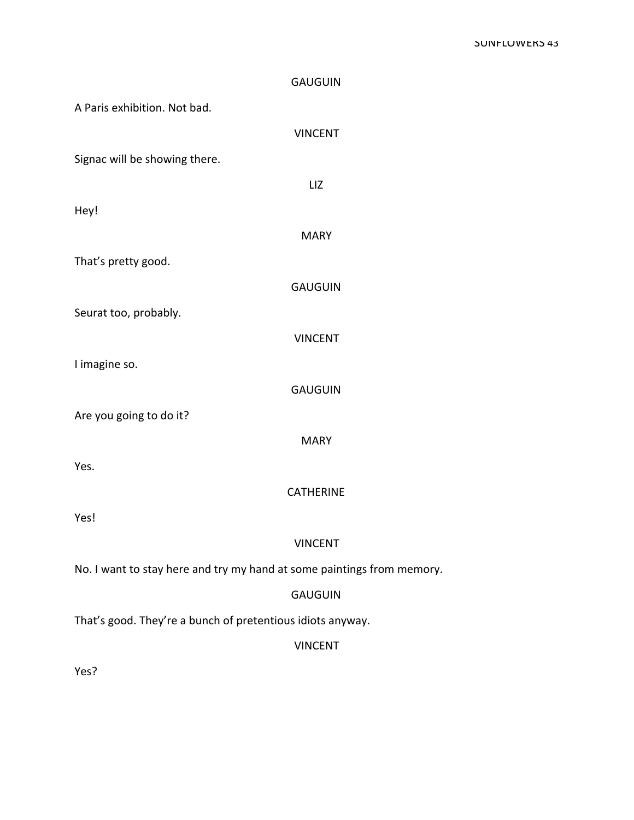|                                                            | <b>GAUGUIN</b>                                                         |  |
|------------------------------------------------------------|------------------------------------------------------------------------|--|
| A Paris exhibition. Not bad.                               |                                                                        |  |
|                                                            | <b>VINCENT</b>                                                         |  |
| Signac will be showing there.                              |                                                                        |  |
|                                                            | LIZ                                                                    |  |
| Hey!                                                       |                                                                        |  |
|                                                            | <b>MARY</b>                                                            |  |
| That's pretty good.                                        |                                                                        |  |
|                                                            | <b>GAUGUIN</b>                                                         |  |
| Seurat too, probably.                                      |                                                                        |  |
|                                                            | <b>VINCENT</b>                                                         |  |
| I imagine so.                                              |                                                                        |  |
|                                                            | <b>GAUGUIN</b>                                                         |  |
| Are you going to do it?                                    |                                                                        |  |
|                                                            | <b>MARY</b>                                                            |  |
| Yes.                                                       |                                                                        |  |
|                                                            | <b>CATHERINE</b>                                                       |  |
| Yes!                                                       |                                                                        |  |
|                                                            | <b>VINCENT</b>                                                         |  |
|                                                            | No. I want to stay here and try my hand at some paintings from memory. |  |
|                                                            | <b>GAUGUIN</b>                                                         |  |
| That's good. They're a bunch of pretentious idiots anyway. |                                                                        |  |
|                                                            | <b>VINCENT</b>                                                         |  |
| Yes?                                                       |                                                                        |  |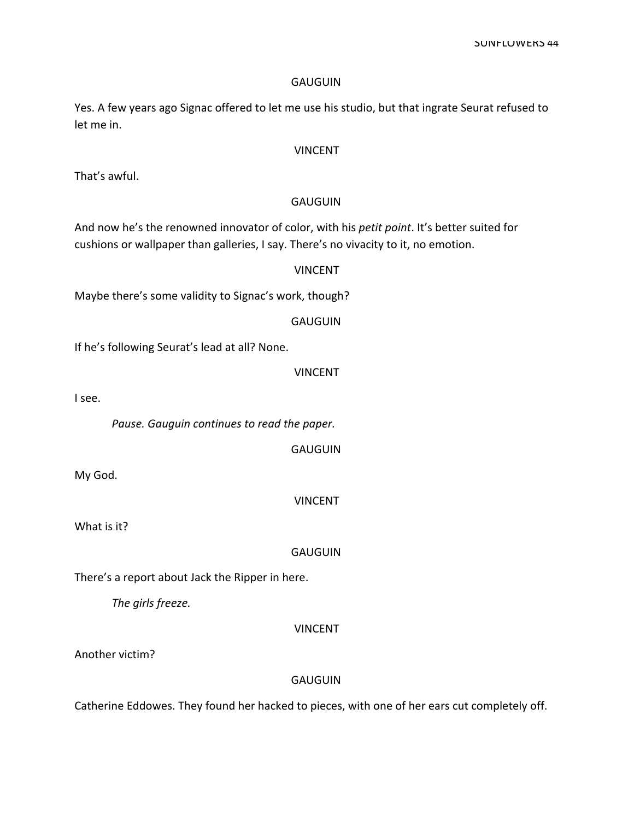SUNFLUWERS 44

#### **GAUGUIN**

Yes. A few years ago Signac offered to let me use his studio, but that ingrate Seurat refused to let me in.

## VINCENT

That's awful.

## **GAUGUIN**

And now he's the renowned innovator of color, with his petit point. It's better suited for cushions or wallpaper than galleries, I say. There's no vivacity to it, no emotion.

## VINCENT

Maybe there's some validity to Signac's work, though?

GAUGUIN

If he's following Seurat's lead at all? None.

**VINCENT** 

I see.

Pause. Gauguin continues to read the paper.

GAUGUIN

My God.

VINCENT

What is it?

**GAUGUIN** 

There's a report about Jack the Ripper in here.

The girls freeze.

VINCENT

Another victim?

## **GAUGUIN**

Catherine Eddowes. They found her hacked to pieces, with one of her ears cut completely off.